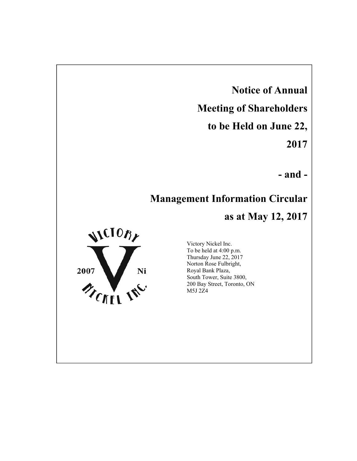**Notice of Annual Meeting of Shareholders to be Held on June 22, 2017**

**- and -**

# **Management Information Circular**

**as at May 12, 2017**



Victory Nickel Inc. To be held at 4:00 p.m. Thursday June 22, 2017 Norton Rose Fulbright, Royal Bank Plaza, South Tower, Suite 3800, 200 Bay Street, Toronto, ON M5J 2Z4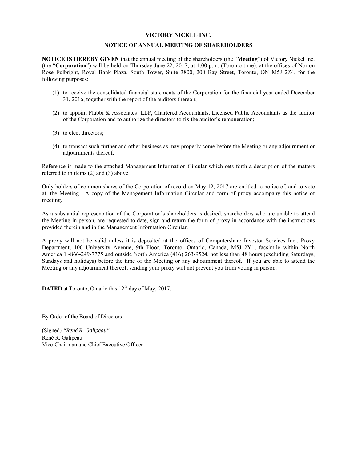### **VICTORY NICKEL INC.**

### **NOTICE OF ANNUAL MEETING OF SHAREHOLDERS**

**NOTICE IS HEREBY GIVEN** that the annual meeting of the shareholders (the "**Meeting**") of Victory Nickel Inc. (the "**Corporation**") will be held on Thursday June 22, 2017, at 4:00 p.m. (Toronto time), at the offices of Norton Rose Fulbright, Royal Bank Plaza, South Tower, Suite 3800, 200 Bay Street, Toronto, ON M5J 2Z4, for the following purposes:

- (1) to receive the consolidated financial statements of the Corporation for the financial year ended December 31, 2016, together with the report of the auditors thereon;
- (2) to appoint Flabbi & Associates LLP, Chartered Accountants, Licensed Public Accountants as the auditor of the Corporation and to authorize the directors to fix the auditor's remuneration;
- (3) to elect directors;
- (4) to transact such further and other business as may properly come before the Meeting or any adjournment or adjournments thereof.

Reference is made to the attached Management Information Circular which sets forth a description of the matters referred to in items (2) and (3) above.

Only holders of common shares of the Corporation of record on May 12, 2017 are entitled to notice of, and to vote at, the Meeting. A copy of the Management Information Circular and form of proxy accompany this notice of meeting.

As a substantial representation of the Corporation's shareholders is desired, shareholders who are unable to attend the Meeting in person, are requested to date, sign and return the form of proxy in accordance with the instructions provided therein and in the Management Information Circular.

A proxy will not be valid unless it is deposited at the offices of Computershare Investor Services Inc., Proxy Department, 100 University Avenue, 9th Floor, Toronto, Ontario, Canada, M5J 2Y1, facsimile within North America 1 -866-249-7775 and outside North America (416) 263-9524, not less than 48 hours (excluding Saturdays, Sundays and holidays) before the time of the Meeting or any adjournment thereof. If you are able to attend the Meeting or any adjournment thereof, sending your proxy will not prevent you from voting in person.

**DATED** at Toronto, Ontario this 12<sup>th</sup> day of May, 2017.

By Order of the Board of Directors

(Signed) *"René R. Galipeau"*

René R. Galipeau Vice-Chairman and Chief Executive Officer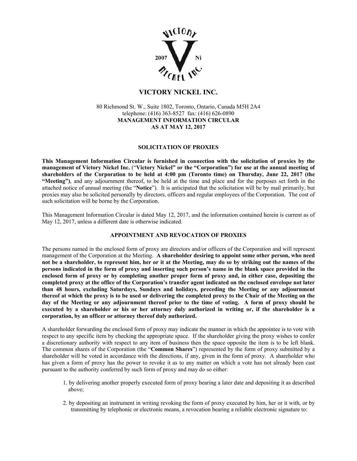

## **VICTORY NICKEL INC.**

80 Richmond St. W., Suite 1802, Toronto, Ontario, Canada M5H 2A4 telephone: (416) 363-8527 fax: (416) 626-0890 **MANAGEMENT INFORMATION CIRCULAR AS AT MAY 12, 2017** 

### **SOLICITATION OF PROXIES**

**This Management Information Circular is furnished in connection with the solicitation of proxies by the management of Victory Nickel Inc.** ("**Victory Nickel" or the "Corporation") for use at the annual meeting of shareholders of the Corporation to be held at 4:00 pm (Toronto time) on Thursday, June 22, 2017 (the "Meeting")**, and any adjournment thereof, to be held at the time and place and for the purposes set forth in the attached notice of annual meeting (the "**Notice**"). It is anticipated that the solicitation will be by mail primarily, but proxies may also be solicited personally by directors, officers and regular employees of the Corporation. The cost of such solicitation will be borne by the Corporation.

This Management Information Circular is dated May 12, 2017, and the information contained herein is current as of May 12, 2017, unless a different date is otherwise indicated.

### **APPOINTMENT AND REVOCATION OF PROXIES**

The persons named in the enclosed form of proxy are directors and/or officers of the Corporation and will represent management of the Corporation at the Meeting. **A shareholder desiring to appoint some other person, who need not be a shareholder, to represent him, her or it at the Meeting, may do so by striking out the names of the persons indicated in the form of proxy and inserting such person's name in the blank space provided in the enclosed form of proxy or by completing another proper form of proxy and, in either case, depositing the completed proxy at the office of the Corporation's transfer agent indicated on the enclosed envelope not later than 48 hours, excluding Saturdays, Sundays and holidays, preceding the Meeting or any adjournment thereof at which the proxy is to be used or delivering the completed proxy to the Chair of the Meeting on the day of the Meeting or any adjournment thereof prior to the time of voting. A form of proxy should be executed by a shareholder or his or her attorney duly authorized in writing or, if the shareholder is a corporation, by an officer or attorney thereof duly authorized.**

A shareholder forwarding the enclosed form of proxy may indicate the manner in which the appointee is to vote with respect to any specific item by checking the appropriate space. If the shareholder giving the proxy wishes to confer a discretionary authority with respect to any item of business then the space opposite the item is to be left blank. The common shares of the Corporation (the "**Common Shares**") represented by the form of proxy submitted by a shareholder will be voted in accordance with the directions, if any, given in the form of proxy. A shareholder who has given a form of proxy has the power to revoke it as to any matter on which a vote has not already been cast pursuant to the authority conferred by such form of proxy and may do so either:

- 1. by delivering another properly executed form of proxy bearing a later date and depositing it as described above;
- 2. by depositing an instrument in writing revoking the form of proxy executed by him, her or it with, or by transmitting by telephonic or electronic means, a revocation bearing a reliable electronic signature to: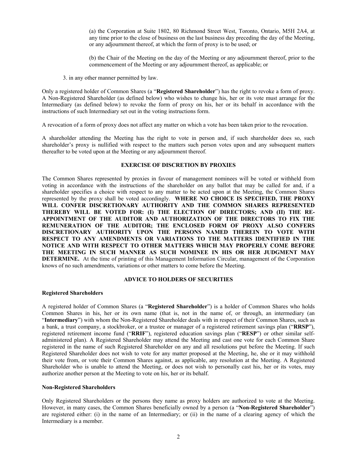(a) the Corporation at Suite 1802, 80 Richmond Street West, Toronto, Ontario, M5H 2A4, at any time prior to the close of business on the last business day preceding the day of the Meeting, or any adjournment thereof, at which the form of proxy is to be used; or

(b) the Chair of the Meeting on the day of the Meeting or any adjournment thereof, prior to the commencement of the Meeting or any adjournment thereof, as applicable; or

3. in any other manner permitted by law.

Only a registered holder of Common Shares (a "**Registered Shareholder**") has the right to revoke a form of proxy. A Non-Registered Shareholder (as defined below) who wishes to change his, her or its vote must arrange for the Intermediary (as defined below) to revoke the form of proxy on his, her or its behalf in accordance with the instructions of such Intermediary set out in the voting instructions form.

A revocation of a form of proxy does not affect any matter on which a vote has been taken prior to the revocation.

A shareholder attending the Meeting has the right to vote in person and, if such shareholder does so, such shareholder's proxy is nullified with respect to the matters such person votes upon and any subsequent matters thereafter to be voted upon at the Meeting or any adjournment thereof.

### **EXERCISE OF DISCRETION BY PROXIES**

The Common Shares represented by proxies in favour of management nominees will be voted or withheld from voting in accordance with the instructions of the shareholder on any ballot that may be called for and, if a shareholder specifies a choice with respect to any matter to be acted upon at the Meeting, the Common Shares represented by the proxy shall be voted accordingly. **WHERE NO CHOICE IS SPECIFIED, THE PROXY WILL CONFER DISCRETIONARY AUTHORITY AND THE COMMON SHARES REPRESENTED THEREBY WILL BE VOTED FOR: (I) THE ELECTION OF DIRECTORS; AND (II) THE RE-APPOINTMENT OF THE AUDITOR AND AUTHORIZATION OF THE DIRECTORS TO FIX THE REMUNERATION OF THE AUDITOR; THE ENCLOSED FORM OF PROXY ALSO CONFERS DISCRETIONARY AUTHORITY UPON THE PERSONS NAMED THEREIN TO VOTE WITH RESPECT TO ANY AMENDMENTS OR VARIATIONS TO THE MATTERS IDENTIFIED IN THE NOTICE AND WITH RESPECT TO OTHER MATTERS WHICH MAY PROPERLY COME BEFORE THE MEETING IN SUCH MANNER AS SUCH NOMINEE IN HIS OR HER JUDGMENT MAY DETERMINE.** At the time of printing of this Management Information Circular, management of the Corporation knows of no such amendments, variations or other matters to come before the Meeting.

### **ADVICE TO HOLDERS OF SECURITIES**

#### **Registered Shareholders**

A registered holder of Common Shares (a "**Registered Shareholder**") is a holder of Common Shares who holds Common Shares in his, her or its own name (that is, not in the name of, or through, an intermediary (an "**Intermediary**") with whom the Non-Registered Shareholder deals with in respect of their Common Shares, such as a bank, a trust company, a stockbroker, or a trustee or manager of a registered retirement savings plan ("**RRSP**"), registered retirement income fund ("**RRIF**"), registered education savings plan ("**RESP**") or other similar selfadministered plan). A Registered Shareholder may attend the Meeting and cast one vote for each Common Share registered in the name of such Registered Shareholder on any and all resolutions put before the Meeting. If such Registered Shareholder does not wish to vote for any matter proposed at the Meeting, he, she or it may withhold their vote from, or vote their Common Shares against, as applicable, any resolution at the Meeting. A Registered Shareholder who is unable to attend the Meeting, or does not wish to personally cast his, her or its votes, may authorize another person at the Meeting to vote on his, her or its behalf.

### **Non-Registered Shareholders**

Only Registered Shareholders or the persons they name as proxy holders are authorized to vote at the Meeting. However, in many cases, the Common Shares beneficially owned by a person (a "**Non-Registered Shareholder**") are registered either: (i) in the name of an Intermediary; or (ii) in the name of a clearing agency of which the Intermediary is a member.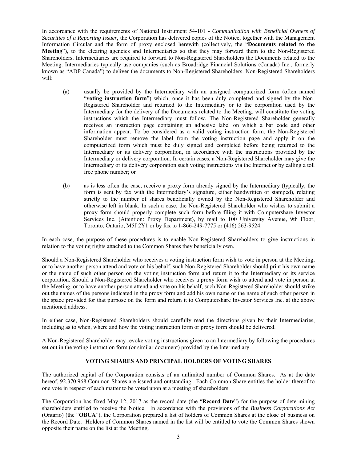In accordance with the requirements of National Instrument 54-101 - *Communication with Beneficial Owners of Securities of a Reporting Issuer*, the Corporation has delivered copies of the Notice, together with the Management Information Circular and the form of proxy enclosed herewith (collectively, the "**Documents related to the Meeting**"), to the clearing agencies and Intermediaries so that they may forward them to the Non-Registered Shareholders. Intermediaries are required to forward to Non-Registered Shareholders the Documents related to the Meeting. Intermediaries typically use companies (such as Broadridge Financial Solutions (Canada) Inc., formerly known as "ADP Canada") to deliver the documents to Non-Registered Shareholders. Non-Registered Shareholders will:

- (a) usually be provided by the Intermediary with an unsigned computerized form (often named "**voting instruction form**") which, once it has been duly completed and signed by the Non-Registered Shareholder and returned to the Intermediary or to the corporation used by the Intermediary for the delivery of the Documents related to the Meeting, will constitute the voting instructions which the Intermediary must follow. The Non-Registered Shareholder generally receives an instruction page containing an adhesive label on which a bar code and other information appear. To be considered as a valid voting instruction form, the Non-Registered Shareholder must remove the label from the voting instruction page and apply it on the computerized form which must be duly signed and completed before being returned to the Intermediary or its delivery corporation, in accordance with the instructions provided by the Intermediary or delivery corporation. In certain cases, a Non-Registered Shareholder may give the Intermediary or its delivery corporation such voting instructions via the Internet or by calling a toll free phone number; or
- (b) as is less often the case, receive a proxy form already signed by the Intermediary (typically, the form is sent by fax with the Intermediary's signature, either handwritten or stamped), relating strictly to the number of shares beneficially owned by the Non-Registered Shareholder and otherwise left in blank. In such a case, the Non-Registered Shareholder who wishes to submit a proxy form should properly complete such form before filing it with Computershare Investor Services Inc. (Attention: Proxy Department), by mail to 100 University Avenue, 9th Floor, Toronto, Ontario, M5J 2Y1 or by fax to 1-866-249-7775 or (416) 263-9524.

In each case, the purpose of these procedures is to enable Non-Registered Shareholders to give instructions in relation to the voting rights attached to the Common Shares they beneficially own.

Should a Non-Registered Shareholder who receives a voting instruction form wish to vote in person at the Meeting, or to have another person attend and vote on his behalf, such Non-Registered Shareholder should print his own name or the name of such other person on the voting instruction form and return it to the Intermediary or its service corporation. Should a Non-Registered Shareholder who receives a proxy form wish to attend and vote in person at the Meeting, or to have another person attend and vote on his behalf, such Non-Registered Shareholder should strike out the names of the persons indicated in the proxy form and add his own name or the name of such other person in the space provided for that purpose on the form and return it to Computershare Investor Services Inc. at the above mentioned address.

In either case, Non-Registered Shareholders should carefully read the directions given by their Intermediaries, including as to when, where and how the voting instruction form or proxy form should be delivered.

A Non-Registered Shareholder may revoke voting instructions given to an Intermediary by following the procedures set out in the voting instruction form (or similar document) provided by the Intermediary.

### **VOTING SHARES AND PRINCIPAL HOLDERS OF VOTING SHARES**

The authorized capital of the Corporation consists of an unlimited number of Common Shares. As at the date hereof, 92,370,968 Common Shares are issued and outstanding. Each Common Share entitles the holder thereof to one vote in respect of each matter to be voted upon at a meeting of shareholders.

The Corporation has fixed May 12, 2017 as the record date (the "**Record Date**") for the purpose of determining shareholders entitled to receive the Notice. In accordance with the provisions of the *Business Corporations Act* (Ontario) (the "**OBCA**"), the Corporation prepared a list of holders of Common Shares at the close of business on the Record Date. Holders of Common Shares named in the list will be entitled to vote the Common Shares shown opposite their name on the list at the Meeting.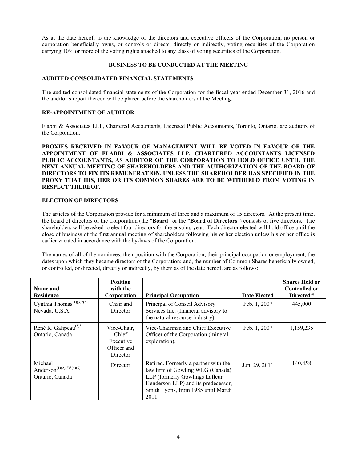As at the date hereof, to the knowledge of the directors and executive officers of the Corporation, no person or corporation beneficially owns, or controls or directs, directly or indirectly, voting securities of the Corporation carrying 10% or more of the voting rights attached to any class of voting securities of the Corporation.

### **BUSINESS TO BE CONDUCTED AT THE MEETING**

### **AUDITED CONSOLIDATED FINANCIAL STATEMENTS**

The audited consolidated financial statements of the Corporation for the fiscal year ended December 31, 2016 and the auditor's report thereon will be placed before the shareholders at the Meeting.

### **RE-APPOINTMENT OF AUDITOR**

Flabbi & Associates LLP, Chartered Accountants, Licensed Public Accountants, Toronto, Ontario, are auditors of the Corporation.

**PROXIES RECEIVED IN FAVOUR OF MANAGEMENT WILL BE VOTED IN FAVOUR OF THE APPOINTMENT OF FLABBI & ASSOCIATES LLP, CHARTERED ACCOUNTANTS LICENSED PUBLIC ACCOUNTANTS, AS AUDITOR OF THE CORPORATION TO HOLD OFFICE UNTIL THE NEXT ANNUAL MEETING OF SHAREHOLDERS AND THE AUTHORIZATION OF THE BOARD OF DIRECTORS TO FIX ITS REMUNERATION, UNLESS THE SHAREHOLDER HAS SPECIFIED IN THE PROXY THAT HIS, HER OR ITS COMMON SHARES ARE TO BE WITHHELD FROM VOTING IN RESPECT THEREOF.** 

### **ELECTION OF DIRECTORS**

The articles of the Corporation provide for a minimum of three and a maximum of 15 directors. At the present time, the board of directors of the Corporation (the "**Board**" or the "**Board of Directors**") consists of five directors. The shareholders will be asked to elect four directors for the ensuing year. Each director elected will hold office until the close of business of the first annual meeting of shareholders following his or her election unless his or her office is earlier vacated in accordance with the by-laws of the Corporation.

The names of all of the nominees; their position with the Corporation; their principal occupation or employment; the dates upon which they became directors of the Corporation; and, the number of Common Shares beneficially owned, or controlled, or directed, directly or indirectly, by them as of the date hereof, are as follows:

| Name and<br><b>Residence</b>                                       | <b>Position</b><br>with the<br>Corporation                   | <b>Principal Occupation</b>                                                                                                                                                                      | <b>Date Elected</b> | <b>Shares Held or</b><br><b>Controlled or</b><br>Directed <sup>(6)</sup> |
|--------------------------------------------------------------------|--------------------------------------------------------------|--------------------------------------------------------------------------------------------------------------------------------------------------------------------------------------------------|---------------------|--------------------------------------------------------------------------|
| Cynthia Thomas <sup>(1)(3)*(5)</sup><br>Nevada, U.S.A.             | Chair and<br>Director                                        | Principal of Conseil Advisory<br>Services Inc. (financial advisory to<br>the natural resource industry).                                                                                         | Feb. 1, 2007        | 445,000                                                                  |
| René R. Galipeau <sup>(5)*</sup><br>Ontario, Canada                | Vice-Chair,<br>Chief<br>Executive<br>Officer and<br>Director | Vice-Chairman and Chief Executive<br>Officer of the Corporation (mineral<br>exploration).                                                                                                        | Feb. 1, 2007        | 1,159,235                                                                |
| Michael<br>Anderson <sup>(1)(2)(3)*(4)(5)</sup><br>Ontario, Canada | Director                                                     | Retired. Formerly a partner with the<br>law firm of Gowling WLG (Canada)<br>LLP (formerly Gowlings Lafleur<br>Henderson LLP) and its predecessor,<br>Smith Lyons, from 1985 until March<br>2011. | Jun. 29, 2011       | 140,458                                                                  |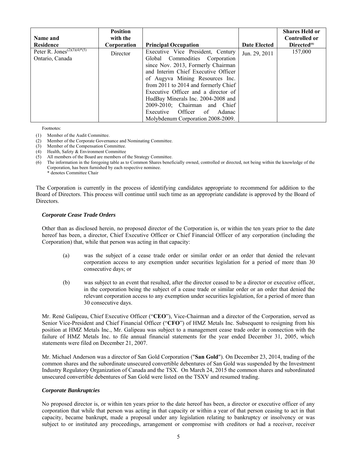| Name and<br><b>Residence</b>                               | <b>Position</b><br>with the<br>Corporation | <b>Principal Occupation</b>                                                                                                                                                                                                                                                                                                                                                                                      | <b>Date Elected</b> | <b>Shares Held or</b><br><b>Controlled or</b><br>Directed <sup>(6)</sup> |
|------------------------------------------------------------|--------------------------------------------|------------------------------------------------------------------------------------------------------------------------------------------------------------------------------------------------------------------------------------------------------------------------------------------------------------------------------------------------------------------------------------------------------------------|---------------------|--------------------------------------------------------------------------|
| Peter R. Jones <sup>(2)(3)(4)*(5)</sup><br>Ontario, Canada | Director                                   | Executive Vice President, Century<br>Global Commodities Corporation<br>since Nov. 2013, Formerly Chairman<br>and Interim Chief Executive Officer<br>of Augyva Mining Resources Inc.<br>from 2011 to 2014 and formerly Chief<br>Executive Officer and a director of<br>HudBay Minerals Inc. 2004-2008 and<br>2009-2010; Chairman and Chief<br>Executive Officer of<br>Adanac<br>Molybdenum Corporation 2008-2009. | Jun. 29, 2011       | 157,000                                                                  |

Footnotes:

- (1) Member of the Audit Committee.
- (2) Member of the Corporate Governance and Nominating Committee.
- (3) Member of the Compensation Committee.
- (4) Health, Safety & Environment Committee
- (5) All members of the Board are members of the Strategy Committee.
- (6) The information in the foregoing table as to Common Shares beneficially owned, controlled or directed, not being within the knowledge of the Corporation, has been furnished by each respective nominee.
	- \* denotes Committee Chair

The Corporation is currently in the process of identifying candidates appropriate to recommend for addition to the Board of Directors. This process will continue until such time as an appropriate candidate is approved by the Board of Directors.

#### *Corporate Cease Trade Orders*

Other than as disclosed herein, no proposed director of the Corporation is, or within the ten years prior to the date hereof has been, a director, Chief Executive Officer or Chief Financial Officer of any corporation (including the Corporation) that, while that person was acting in that capacity:

- (a) was the subject of a cease trade order or similar order or an order that denied the relevant corporation access to any exemption under securities legislation for a period of more than 30 consecutive days; or
- (b) was subject to an event that resulted, after the director ceased to be a director or executive officer, in the corporation being the subject of a cease trade or similar order or an order that denied the relevant corporation access to any exemption under securities legislation, for a period of more than 30 consecutive days.

Mr. René Galipeau, Chief Executive Officer ("**CEO**"), Vice-Chairman and a director of the Corporation, served as Senior Vice-President and Chief Financial Officer ("**CFO**") of HMZ Metals Inc. Subsequent to resigning from his position at HMZ Metals Inc., Mr. Galipeau was subject to a management cease trade order in connection with the failure of HMZ Metals Inc. to file annual financial statements for the year ended December 31, 2005, which statements were filed on December 21, 2007.

Mr. Michael Anderson was a director of San Gold Corporation ("**San Gold**"). On December 23, 2014, trading of the common shares and the subordinate unsecured convertible debentures of San Gold was suspended by the Investment Industry Regulatory Organization of Canada and the TSX. On March 24, 2015 the common shares and subordinated unsecured convertible debentures of San Gold were listed on the TSXV and resumed trading.

### *Corporate Bankruptcies*

No proposed director is, or within ten years prior to the date hereof has been, a director or executive officer of any corporation that while that person was acting in that capacity or within a year of that person ceasing to act in that capacity, became bankrupt, made a proposal under any legislation relating to bankruptcy or insolvency or was subject to or instituted any proceedings, arrangement or compromise with creditors or had a receiver, receiver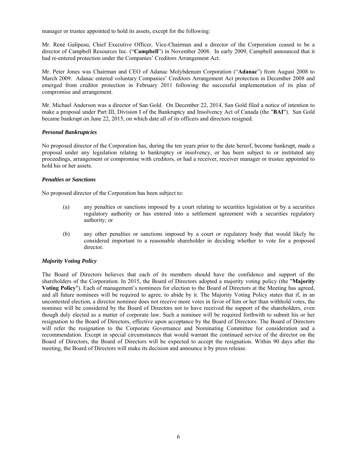manager or trustee appointed to hold its assets, except for the following:

Mr. René Galipeau, Chief Executive Officer, Vice-Chairman and a director of the Corporation ceased to be a director of Campbell Resources Inc. ("**Campbell**") in November 2008. In early 2009, Campbell announced that it had re-entered protection under the Companies' Creditors Arrangement Act.

Mr. Peter Jones was Chairman and CEO of Adanac Molybdenum Corporation ("**Adanac**") from August 2008 to March 2009. Adanac entered voluntary Companies' Creditors Arrangement Act protection in December 2008 and emerged from creditor protection in February 2011 following the successful implementation of its plan of compromise and arrangement.

Mr. Michael Anderson was a director of San Gold. On December 22, 2014, San Gold filed a notice of intention to make a proposal under Part III, Division I of the Bankruptcy and Insolvency Act of Canada (the "**BAI**"). San Gold became bankrupt on June 22, 2015, on which date all of its officers and directors resigned.

### *Personal Bankruptcies*

No proposed director of the Corporation has, during the ten years prior to the date hereof, become bankrupt, made a proposal under any legislation relating to bankruptcy or insolvency, or has been subject to or instituted any proceedings, arrangement or compromise with creditors, or had a receiver, receiver manager or trustee appointed to hold his or her assets.

### *Penalties or Sanctions*

No proposed director of the Corporation has been subject to:

- (a) any penalties or sanctions imposed by a court relating to securities legislation or by a securities regulatory authority or has entered into a settlement agreement with a securities regulatory authority; or
- (b) any other penalties or sanctions imposed by a court or regulatory body that would likely be considered important to a reasonable shareholder in deciding whether to vote for a proposed director.

### *Majority Voting Policy*

The Board of Directors believes that each of its members should have the confidence and support of the shareholders of the Corporation. In 2015, the Board of Directors adopted a majority voting policy (the "**Majority Voting Policy**"). Each of management's nominees for election to the Board of Directors at the Meeting has agreed, and all future nominees will be required to agree, to abide by it. The Majority Voting Policy states that if, in an uncontested election, a director nominee does not receive more votes in favor of him or her than withhold votes, the nominee will be considered by the Board of Directors not to have received the support of the shareholders, even though duly elected as a matter of corporate law. Such a nominee will be required forthwith to submit his or her resignation to the Board of Directors, effective upon acceptance by the Board of Directors. The Board of Directors will refer the resignation to the Corporate Governance and Nominating Committee for consideration and a recommendation. Except in special circumstances that would warrant the continued service of the director on the Board of Directors, the Board of Directors will be expected to accept the resignation. Within 90 days after the meeting, the Board of Directors will make its decision and announce it by press release.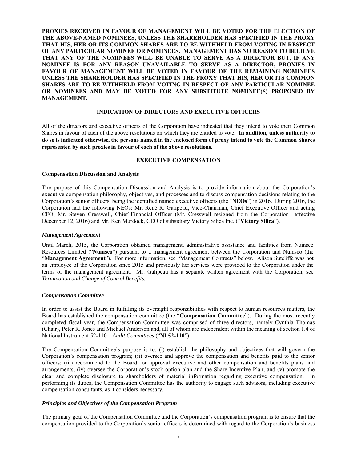**PROXIES RECEIVED IN FAVOUR OF MANAGEMENT WILL BE VOTED FOR THE ELECTION OF THE ABOVE-NAMED NOMINEES, UNLESS THE SHAREHOLDER HAS SPECIFIED IN THE PROXY THAT HIS, HER OR ITS COMMON SHARES ARE TO BE WITHHELD FROM VOTING IN RESPECT OF ANY PARTICULAR NOMINEE OR NOMINEES. MANAGEMENT HAS NO REASON TO BELIEVE THAT ANY OF THE NOMINEES WILL BE UNABLE TO SERVE AS A DIRECTOR BUT, IF ANY NOMINEE IS FOR ANY REASON UNAVAILABLE TO SERVE AS A DIRECTOR, PROXIES IN FAVOUR OF MANAGEMENT WILL BE VOTED IN FAVOUR OF THE REMAINING NOMINEES UNLESS THE SHAREHOLDER HAS SPECIFIED IN THE PROXY THAT HIS, HER OR ITS COMMON SHARES ARE TO BE WITHHELD FROM VOTING IN RESPECT OF ANY PARTICULAR NOMINEE OR NOMINEES AND MAY BE VOTED FOR ANY SUBSTITUTE NOMINEE(S) PROPOSED BY MANAGEMENT.** 

### **INDICATION OF DIRECTORS AND EXECUTIVE OFFICERS**

All of the directors and executive officers of the Corporation have indicated that they intend to vote their Common Shares in favour of each of the above resolutions on which they are entitled to vote. **In addition, unless authority to do so is indicated otherwise, the persons named in the enclosed form of proxy intend to vote the Common Shares represented by such proxies in favour of each of the above resolutions.**

### **EXECUTIVE COMPENSATION**

### **Compensation Discussion and Analysis**

The purpose of this Compensation Discussion and Analysis is to provide information about the Corporation's executive compensation philosophy, objectives, and processes and to discuss compensation decisions relating to the Corporation's senior officers, being the identified named executive officers (the "**NEOs**") in 2016. During 2016, the Corporation had the following NEOs: Mr. René R. Galipeau, Vice-Chairman, Chief Executive Officer and acting CFO; Mr. Steven Cresswell, Chief Financial Officer (Mr. Cresswell resigned from the Corporation effective December 12, 2016) and Mr. Ken Murdock, CEO of subsidiary Victory Silica Inc. ("**Victory Silica**").

#### *Management Agreement*

Until March, 2015, the Corporation obtained management, administrative assistance and facilities from Nuinsco Resources Limited ("**Nuinsco**") pursuant to a management agreement between the Corporation and Nuinsco (the "**Management Agreement**"). For more information, see "Management Contracts" below. Alison Sutcliffe was not an employee of the Corporation since 2015 and previously her services were provided to the Corporation under the terms of the management agreement. Mr. Galipeau has a separate written agreement with the Corporation, see *Termination and Change of Control Benefits*.

### *Compensation Committee*

In order to assist the Board in fulfilling its oversight responsibilities with respect to human resources matters, the Board has established the compensation committee (the "**Compensation Committee**"). During the most recently completed fiscal year, the Compensation Committee was comprised of three directors, namely Cynthia Thomas (Chair), Peter R. Jones and Michael Anderson and, all of whom are independent within the meaning of section 1.4 of National Instrument 52-110 – *Audit Committees* ("**NI 52-110**").

The Compensation Committee's purpose is to: (i) establish the philosophy and objectives that will govern the Corporation's compensation program; (ii) oversee and approve the compensation and benefits paid to the senior officers; (iii) recommend to the Board for approval executive and other compensation and benefits plans and arrangements; (iv) oversee the Corporation's stock option plan and the Share Incentive Plan; and (v) promote the clear and complete disclosure to shareholders of material information regarding executive compensation. In performing its duties, the Compensation Committee has the authority to engage such advisors, including executive compensation consultants, as it considers necessary.

### *Principles and Objectives of the Compensation Program*

The primary goal of the Compensation Committee and the Corporation's compensation program is to ensure that the compensation provided to the Corporation's senior officers is determined with regard to the Corporation's business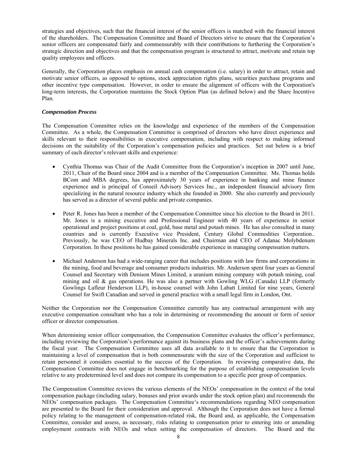strategies and objectives, such that the financial interest of the senior officers is matched with the financial interest of the shareholders. The Compensation Committee and Board of Directors strive to ensure that the Corporation's senior officers are compensated fairly and commensurably with their contributions to furthering the Corporation's strategic direction and objectives and that the compensation program is structured to attract, motivate and retain top quality employees and officers.

Generally, the Corporation places emphasis on annual cash compensation (i.e. salary) in order to attract, retain and motivate senior officers, as opposed to options, stock appreciation rights plans, securities purchase programs and other incentive type compensation. However, in order to ensure the alignment of officers with the Corporation's long-term interests, the Corporation maintains the Stock Option Plan (as defined below) and the Share Incentive Plan.

### *Compensation Process*

The Compensation Committee relies on the knowledge and experience of the members of the Compensation Committee. As a whole, the Compensation Committee is comprised of directors who have direct experience and skills relevant to their responsibilities in executive compensation, including with respect to making informed decisions on the suitability of the Corporation's compensation policies and practices. Set out below is a brief summary of each director's relevant skills and experience:

- Cynthia Thomas was Chair of the Audit Committee from the Corporation's inception in 2007 until June, 2011, Chair of the Board since 2004 and is a member of the Compensation Committee. Ms. Thomas holds BCom and MBA degrees, has approximately 30 years of experience in banking and mine finance experience and is principal of Conseil Advisory Services Inc., an independent financial advisory firm specializing in the natural resource industry which she founded in 2000. She also currently and previously has served as a director of several public and private companies.
- Peter R. Jones has been a member of the Compensation Committee since his election to the Board in 2011. Mr. Jones is a mining executive and Professional Engineer with 40 years of experience in senior operational and project positions at coal, gold, base metal and potash mines. He has also consulted in many countries and is currently Executive vice President, Century Global Commodities Corporation.. Previously, he was CEO of Hudbay Minerals Inc. and Chairman and CEO of Adanac Molybdenum Corporation. In these positions he has gained considerable experience in managing compensation matters.
- Michael Anderson has had a wide-ranging career that includes positions with law firms and corporations in the mining, food and beverage and consumer products industries. Mr. Anderson spent four years as General Counsel and Secretary with Denison Mines Limited, a uranium mining company with potash mining, coal mining and oil & gas operations. He was also a partner with Gowling WLG (Canada) LLP (formerly Gowlings Lafleur Henderson LLP), in-house counsel with John Labatt Limited for nine years, General Counsel for Swift Canadian and served in general practice with a small legal firm in London, Ont.

Neither the Corporation nor the Compensation Committee currently has any contractual arrangement with any executive compensation consultant who has a role in determining or recommending the amount or form of senior officer or director compensation.

When determining senior officer compensation, the Compensation Committee evaluates the officer's performance, including reviewing the Corporation's performance against its business plans and the officer's achievements during the fiscal year. The Compensation Committee uses all data available to it to ensure that the Corporation is maintaining a level of compensation that is both commensurate with the size of the Corporation and sufficient to retain personnel it considers essential to the success of the Corporation. In reviewing comparative data, the Compensation Committee does not engage in benchmarking for the purpose of establishing compensation levels relative to any predetermined level and does not compare its compensation to a specific peer group of companies.

The Compensation Committee reviews the various elements of the NEOs' compensation in the context of the total compensation package (including salary, bonuses and prior awards under the stock option plan) and recommends the NEOs' compensation packages. The Compensation Committee's recommendations regarding NEO compensation are presented to the Board for their consideration and approval. Although the Corporation does not have a formal policy relating to the management of compensation-related risk, the Board and, as applicable, the Compensation Committee, consider and assess, as necessary, risks relating to compensation prior to entering into or amending employment contracts with NEOs and when setting the compensation of directors. The Board and the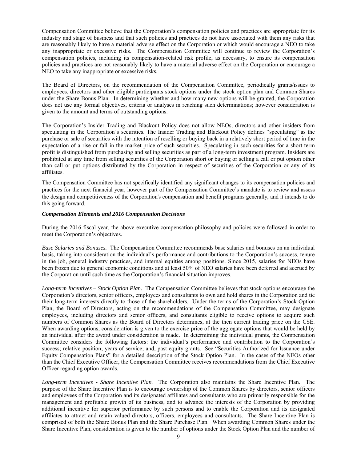Compensation Committee believe that the Corporation's compensation policies and practices are appropriate for its industry and stage of business and that such policies and practices do not have associated with them any risks that are reasonably likely to have a material adverse effect on the Corporation or which would encourage a NEO to take any inappropriate or excessive risks. The Compensation Committee will continue to review the Corporation's compensation policies, including its compensation-related risk profile, as necessary, to ensure its compensation policies and practices are not reasonably likely to have a material adverse effect on the Corporation or encourage a NEO to take any inappropriate or excessive risks.

The Board of Directors, on the recommendation of the Compensation Committee, periodically grants/issues to employees, directors and other eligible participants stock options under the stock option plan and Common Shares under the Share Bonus Plan. In determining whether and how many new options will be granted, the Corporation does not use any formal objectives, criteria or analyses in reaching such determinations; however consideration is given to the amount and terms of outstanding options.

The Corporation's Insider Trading and Blackout Policy does not allow NEOs, directors and other insiders from speculating in the Corporation's securities. The Insider Trading and Blackout Policy defines "speculating" as the purchase or sale of securities with the intention of reselling or buying back in a relatively short period of time in the expectation of a rise or fall in the market price of such securities. Speculating in such securities for a short-term profit is distinguished from purchasing and selling securities as part of a long-term investment program. Insiders are prohibited at any time from selling securities of the Corporation short or buying or selling a call or put option other than call or put options distributed by the Corporation in respect of securities of the Corporation or any of its affiliates.

The Compensation Committee has not specifically identified any significant changes to its compensation policies and practices for the next financial year, however part of the Compensation Committee's mandate is to review and assess the design and competitiveness of the Corporation's compensation and benefit programs generally, and it intends to do this going forward.

### *Compensation Elements and 2016 Compensation Decisions*

During the 2016 fiscal year, the above executive compensation philosophy and policies were followed in order to meet the Corporation's objectives.

*Base Salaries and Bonuses.* The Compensation Committee recommends base salaries and bonuses on an individual basis, taking into consideration the individual's performance and contributions to the Corporation's success, tenure in the job, general industry practices, and internal equities among positions. Since 2015, salaries for NEOs have been frozen due to general economic conditions and at least 50% of NEO salaries have been deferred and accrued by the Corporation until such time as the Corporation's financial situation improves.

*Long-term Incentives – Stock Option Plan.* The Compensation Committee believes that stock options encourage the Corporation's directors, senior officers, employees and consultants to own and hold shares in the Corporation and tie their long-term interests directly to those of the shareholders. Under the terms of the Corporation's Stock Option Plan, the Board of Directors, acting on the recommendations of the Compensation Committee, may designate employees, including directors and senior officers, and consultants eligible to receive options to acquire such numbers of Common Shares as the Board of Directors determines, at the then current trading price on the CSE. When awarding options, consideration is given to the exercise price of the aggregate options that would be held by an individual after the award under consideration is made. In determining the individual grants, the Compensation Committee considers the following factors: the individual's performance and contribution to the Corporation's success; relative position; years of service; and, past equity grants. See "Securities Authorized for Issuance under Equity Compensation Plans" for a detailed description of the Stock Option Plan. In the cases of the NEOs other than the Chief Executive Officer, the Compensation Committee receives recommendations from the Chief Executive Officer regarding option awards.

*Long-term Incentives - Share Incentive Plan.* The Corporation also maintains the Share Incentive Plan. The purpose of the Share Incentive Plan is to encourage ownership of the Common Shares by directors, senior officers and employees of the Corporation and its designated affiliates and consultants who are primarily responsible for the management and profitable growth of its business, and to advance the interests of the Corporation by providing additional incentive for superior performance by such persons and to enable the Corporation and its designated affiliates to attract and retain valued directors, officers, employees and consultants. The Share Incentive Plan is comprised of both the Share Bonus Plan and the Share Purchase Plan. When awarding Common Shares under the Share Incentive Plan, consideration is given to the number of options under the Stock Option Plan and the number of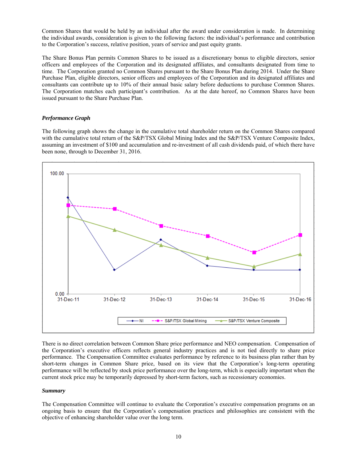Common Shares that would be held by an individual after the award under consideration is made. In determining the individual awards, consideration is given to the following factors: the individual's performance and contribution to the Corporation's success, relative position, years of service and past equity grants.

The Share Bonus Plan permits Common Shares to be issued as a discretionary bonus to eligible directors, senior officers and employees of the Corporation and its designated affiliates, and consultants designated from time to time. The Corporation granted no Common Shares pursuant to the Share Bonus Plan during 2014. Under the Share Purchase Plan, eligible directors, senior officers and employees of the Corporation and its designated affiliates and consultants can contribute up to 10% of their annual basic salary before deductions to purchase Common Shares. The Corporation matches each participant's contribution. As at the date hereof, no Common Shares have been issued pursuant to the Share Purchase Plan.

### *Performance Graph*

The following graph shows the change in the cumulative total shareholder return on the Common Shares compared with the cumulative total return of the S&P/TSX Global Mining Index and the S&P/TSX Venture Composite Index, assuming an investment of \$100 and accumulation and re-investment of all cash dividends paid, of which there have been none, through to December 31, 2016.



There is no direct correlation between Common Share price performance and NEO compensation. Compensation of the Corporation's executive officers reflects general industry practices and is not tied directly to share price performance. The Compensation Committee evaluates performance by reference to its business plan rather than by short-term changes in Common Share price, based on its view that the Corporation's long-term operating performance will be reflected by stock price performance over the long-term, which is especially important when the current stock price may be temporarily depressed by short-term factors, such as recessionary economies.

### *Summary*

The Compensation Committee will continue to evaluate the Corporation's executive compensation programs on an ongoing basis to ensure that the Corporation's compensation practices and philosophies are consistent with the objective of enhancing shareholder value over the long term.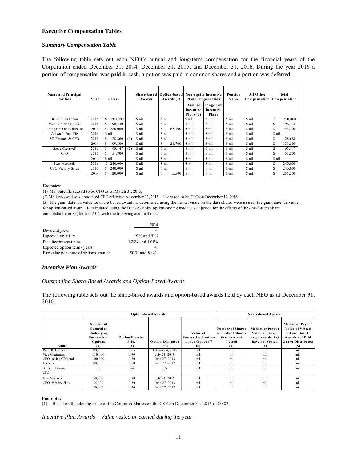### **Executive Compensation Tables**

### *Summary Compensation Table*

The following table sets out each NEO's annual and long-term compensation for the financial years of the Corporation ended December 31, 2014, December 31, 2015, and December 31, 2016. During the year 2016 a portion of compensation was paid in cash, a potion was paid in common shares and a portion was deferred.

| Name and Principal<br>Position | Year | <b>Salary</b> |     | Awards | Share-based Option-based<br>Awards (3) | Annual<br>Incentive<br>Plans $(3)$ | Non-equity Incentive<br><b>Plan Compensation</b><br>Long-term<br>Incentive<br>Plans | Pension<br>Value | All Other<br>Compensation Compensation |        | Total   |
|--------------------------------|------|---------------|-----|--------|----------------------------------------|------------------------------------|-------------------------------------------------------------------------------------|------------------|----------------------------------------|--------|---------|
| Rene R. Galipeau               | 2016 | 280,000       |     | \$ nil | \$ nil                                 | \$ nil                             | \$ nil                                                                              | \$ nil           | \$ nil                                 | S      | 280,000 |
| Vice-Chairman, CEO             | 2015 | 198,430       |     | \$ nil | \$ nil                                 | \$ nil                             | \$ nil                                                                              | \$ nil           | \$ nil                                 | э      | 198,430 |
| acting CFO and Director        | 2014 | \$280,000     |     | \$ nil | S<br>65,100                            | \$ nil                             | \$ nil                                                                              | \$ nil           | \$ nil                                 | Ж      | 345,100 |
| Alison J. Sutcliffe            | 2016 | \$ nil        |     | \$ nil | \$ nil                                 | \$ nil                             | \$ nil                                                                              | \$ nil           | \$ nil                                 | \$ nil |         |
| VP Finance & CFO               | 2015 | 28,860        | (1) | \$ nil | \$ nil                                 | \$ nil                             | \$ nil                                                                              | \$ nil           | \$ nil                                 | S      | 28,680  |
|                                | 2014 | 109,800<br>S  |     | \$ nil | S<br>21,700                            | \$ nil                             | \$ nil                                                                              | \$ nil           | \$ nil                                 | S      | 131,500 |
| Steve Cresswell                | 2016 | 63,147<br>S.  | (2) | \$ nil | \$ nil                                 | \$ nil                             | \$ nil                                                                              | \$ nil           | \$ nil                                 | S      | 63,147  |
| <b>CFO</b>                     | 2015 | 51,800        |     | \$ nil | \$ nil                                 | \$ nil                             | \$ nil                                                                              | \$ nil           | \$ nil                                 | S      | 51,500  |
|                                | 2014 | \$ nil        |     | \$ nil | \$ nil                                 | \$ nil                             | \$ nil                                                                              | \$ nil           | \$ nil                                 | \$ nil |         |
| Ken Murdock                    | 2016 | \$240,000     |     | \$ nil | \$ nil                                 | \$ nil                             | \$ nil                                                                              | \$ nil           | \$ nil                                 | S      | 240,000 |
| CEO Victory Silica             | 2015 | 240,000       |     | \$ nil | \$ nil                                 | \$ nil                             | \$ nil                                                                              | \$ nil           | \$ nil                                 | э      | 240,000 |
|                                | 2014 | 120,000       |     | \$ nil | S<br>15,500                            | \$ nil                             | \$ nil                                                                              | \$ nil           | \$ nil                                 |        | 255,500 |

#### **Footnotes:**

(1) Ms. Sutcliffe ceased to be CFO as of March 31, 2015;

(2) Mr. Cresswell was appointed CFO effective November 13, 2015. He ceased to be CFO on December 12, 2016

(3) The grant date fair value for share-based awards is determined using the market value on the date shares were issued; the grant date fair value for option-based awards is calculated using the Black-Scholes option-pricing model, as adjusted for the effects of the one-for-ten share consolidation in September 2014, with the following assumptions:

|                                         | 2014              |
|-----------------------------------------|-------------------|
| Dividend yield                          |                   |
| Expected volatility                     | 93% and 91%       |
| Risk free interest rate                 | 1.23% and 1.01%   |
| Expected option term - years            |                   |
| Fair value per share of options granted | \$0.31 and \$0.42 |

### *Incentive Plan Awards*

### *Outstanding Share-Based Awards and Option-Based Awards*

The following table sets out the share-based awards and option-based awards held by each NEO as at December 31, 2016.

|                     |                                                                                |                                        | <b>Option-based Awards</b>       | <b>Share-based Awards</b>                                              |                                                                                      |                                                                                           |                                                                                                                         |
|---------------------|--------------------------------------------------------------------------------|----------------------------------------|----------------------------------|------------------------------------------------------------------------|--------------------------------------------------------------------------------------|-------------------------------------------------------------------------------------------|-------------------------------------------------------------------------------------------------------------------------|
| Name                | Number of<br><b>Securities</b><br>Underlying<br>Unexercised<br>Options<br>(# ) | <b>Option Exercise</b><br>Price<br>(S) | <b>Option Expiration</b><br>Date | Value of<br>Unexercised in-the-<br>money Options <sup>(1)</sup><br>(S) | <b>Number of Shares</b><br>or Units of Shares<br>that have not<br>Vested<br>$^{(#)}$ | <b>Market or Payout</b><br>Value of Share-<br>based awards that<br>have not Vested<br>(S) | <b>Market or Payout</b><br><b>Value of Vested</b><br>Share-Based<br><b>Awards not Paid</b><br>Out or Distributed<br>(S) |
| René R. Galipeau    | 80,000                                                                         | 0.55                                   | February 4, 2019                 | nil                                                                    | nil                                                                                  | nil                                                                                       | nil                                                                                                                     |
| Vice-Chairman.      | 110,000                                                                        | 0.70                                   | July 21, 2019                    | nil                                                                    | nil                                                                                  | nil                                                                                       | nil                                                                                                                     |
| CEO, acting CFO and | 100,000                                                                        | 0.30                                   | June 27, 2018                    | nil                                                                    | nil                                                                                  | nil                                                                                       | nil                                                                                                                     |
| Director            | 80,000                                                                         | 0.50                                   | June 27, 2017                    | nil                                                                    | nil                                                                                  | nil                                                                                       | nil                                                                                                                     |
| Steven Cresswell    | nil                                                                            | n/a                                    | n/a                              | nil                                                                    | nil                                                                                  | nil                                                                                       | nil                                                                                                                     |
| <b>CFO</b>          |                                                                                |                                        |                                  |                                                                        |                                                                                      |                                                                                           |                                                                                                                         |
| Ken Murdock         | 50,000                                                                         | 0.70                                   | July 21, 2019                    | nil                                                                    | nil                                                                                  | nil                                                                                       | nil                                                                                                                     |
| CEO, Victory Silica | 35,000                                                                         | 0.30                                   | June 27, 2018                    | nil                                                                    | nil                                                                                  | nil                                                                                       | nil                                                                                                                     |
|                     | 50,000                                                                         | 0.50                                   | June 27, 2017                    | nil                                                                    | nil                                                                                  | nil                                                                                       | nil                                                                                                                     |

#### **Footnote:**

(1) Based on the closing price of the Common Shares on the CSE on December 31, 2016 of \$0.02.

*Incentive Plan Awards – Value vested or earned during the year*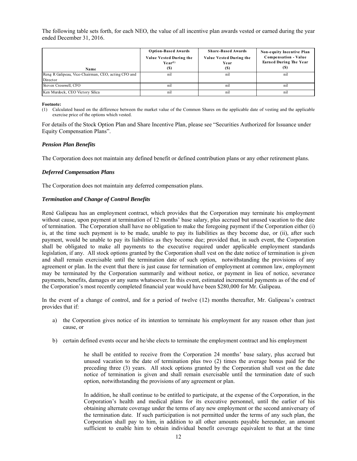The following table sets forth, for each NEO, the value of all incentive plan awards vested or earned during the year ended December 31, 2016.

| Name                                                | <b>Option-Based Awards</b><br>Value Vested During the<br>$Year^{(1)}$<br>(S) | <b>Share-Based Awards</b><br>Value Vested During the<br>Year<br>(S) | Non-equity Incentive Plan<br><b>Compensation - Value</b><br><b>Earned During The Year</b><br>(S) |
|-----------------------------------------------------|------------------------------------------------------------------------------|---------------------------------------------------------------------|--------------------------------------------------------------------------------------------------|
| René R Galipeau, Vice-Chairman, CEO, acting CFO and | nil                                                                          | nil                                                                 | nil                                                                                              |
| Director                                            |                                                                              |                                                                     |                                                                                                  |
| Steven Cresswell, CFO                               | n1                                                                           | nıl                                                                 | nil                                                                                              |
| Ken Murdock, CEO Victory Silica                     | n1                                                                           | $n_{1}$                                                             | nil                                                                                              |

#### **Footnote:**

(1) Calculated based on the difference between the market value of the Common Shares on the applicable date of vesting and the applicable exercise price of the options which vested.

For details of the Stock Option Plan and Share Incentive Plan, please see "Securities Authorized for Issuance under Equity Compensation Plans".

### *Pension Plan Benefits*

The Corporation does not maintain any defined benefit or defined contribution plans or any other retirement plans.

### *Deferred Compensation Plans*

The Corporation does not maintain any deferred compensation plans.

### *Termination and Change of Control Benefits*

René Galipeau has an employment contract, which provides that the Corporation may terminate his employment without cause, upon payment at termination of 12 months' base salary, plus accrued but unused vacation to the date of termination. The Corporation shall have no obligation to make the foregoing payment if the Corporation either (i) is, at the time such payment is to be made, unable to pay its liabilities as they become due, or (ii), after such payment, would be unable to pay its liabilities as they become due; provided that, in such event, the Corporation shall be obligated to make all payments to the executive required under applicable employment standards legislation, if any. All stock options granted by the Corporation shall vest on the date notice of termination is given and shall remain exercisable until the termination date of such option, notwithstanding the provisions of any agreement or plan. In the event that there is just cause for termination of employment at common law, employment may be terminated by the Corporation summarily and without notice, or payment in lieu of notice, severance payments, benefits, damages or any sums whatsoever. In this event, estimated incremental payments as of the end of the Corporation's most recently completed financial year would have been \$280,000 for Mr. Galipeau.

In the event of a change of control, and for a period of twelve (12) months thereafter, Mr. Galipeau's contract provides that if:

- a) the Corporation gives notice of its intention to terminate his employment for any reason other than just cause, or
- b) certain defined events occur and he/she elects to terminate the employment contract and his employment

he shall be entitled to receive from the Corporation 24 months' base salary, plus accrued but unused vacation to the date of termination plus two (2) times the average bonus paid for the preceding three (3) years. All stock options granted by the Corporation shall vest on the date notice of termination is given and shall remain exercisable until the termination date of such option, notwithstanding the provisions of any agreement or plan.

In addition, he shall continue to be entitled to participate, at the expense of the Corporation, in the Corporation's health and medical plans for its executive personnel, until the earlier of his obtaining alternate coverage under the terms of any new employment or the second anniversary of the termination date. If such participation is not permitted under the terms of any such plan, the Corporation shall pay to him, in addition to all other amounts payable hereunder, an amount sufficient to enable him to obtain individual benefit coverage equivalent to that at the time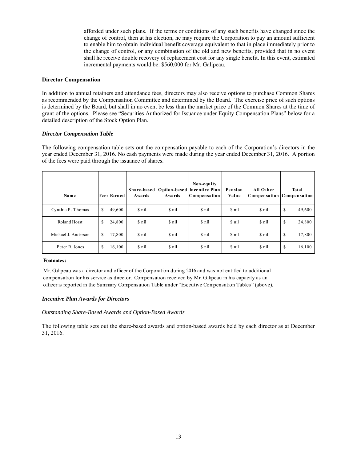afforded under such plans. If the terms or conditions of any such benefits have changed since the change of control, then at his election, he may require the Corporation to pay an amount sufficient to enable him to obtain individual benefit coverage equivalent to that in place immediately prior to the change of control, or any combination of the old and new benefits, provided that in no event shall he receive double recovery of replacement cost for any single benefit. In this event, estimated incremental payments would be: \$560,000 for Mr. Galipeau.

### **Director Compensation**

In addition to annual retainers and attendance fees, directors may also receive options to purchase Common Shares as recommended by the Compensation Committee and determined by the Board. The exercise price of such options is determined by the Board, but shall in no event be less than the market price of the Common Shares at the time of grant of the options. Please see "Securities Authorized for Issuance under Equity Compensation Plans" below for a detailed description of the Stock Option Plan.

### *Director Compensation Table*

The following compensation table sets out the compensation payable to each of the Corporation's directors in the year ended December 31, 2016. No cash payments were made during the year ended December 31, 2016. A portion of the fees were paid through the issuance of shares.

| Name                | <b>Fees Earned</b> | Awards | Awards | Non-equity<br>Share-based   Option-based   Incentive Plan<br>Compensation | Pension<br>Value | All Other | <b>Total</b><br>Compensation   Compensation |
|---------------------|--------------------|--------|--------|---------------------------------------------------------------------------|------------------|-----------|---------------------------------------------|
| Cynthia P. Thomas   | 49,600<br>S        | \$ nil | \$ nil | \$ nil                                                                    | \$ nil           | \$ nil    | \$<br>49,600                                |
| Roland Horst        | 24,800<br>\$       | \$ nil | \$ nil | \$ nil                                                                    | \$ nil           | \$ nil    | \$<br>24,800                                |
| Michael J. Anderson | 17,800<br>\$       | \$ nil | \$ nil | \$ nil                                                                    | \$ nil           | \$ nil    | \$<br>17,800                                |
| Peter R. Jones      | 16,100<br>S        | \$ nil | \$ nil | \$ nil                                                                    | \$ nil           | \$ nil    | \$<br>16,100                                |

### **Footnotes:**

Mr. Galipeau was a director and officer of the Corporation during 2016 and was not entitled to additional compensation for his service as director. Compensation received by Mr. Galipeau in his capacity as an officer is reported in the Summary Compensation Table under "Executive Compensation Tables" (above).

### *Incentive Plan Awards for Directors*

### *Outstanding Share-Based Awards and Option-Based Awards*

The following table sets out the share-based awards and option-based awards held by each director as at December 31, 2016.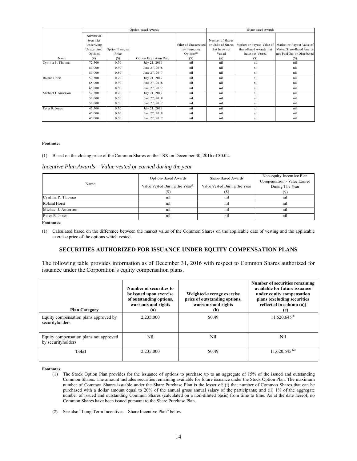|                     |             |                 | Option-based Awards    | Share-based Awards     |                    |                         |                                                       |
|---------------------|-------------|-----------------|------------------------|------------------------|--------------------|-------------------------|-------------------------------------------------------|
|                     | Number of   |                 |                        |                        |                    |                         |                                                       |
|                     | Securities  |                 |                        |                        | Number of Shares   |                         |                                                       |
|                     | Underlying  |                 |                        | Value of Unexercised   | or Units of Shares |                         | Market or Payout Value of   Market or Payout Value of |
|                     | Unexercised | Option Exercise |                        | in-the-money           | that have not      | Share-Based Awards that | Vested Share-Based Awards                             |
|                     | Options     | Price           |                        | Options <sup>(1)</sup> | Vested             | have not Vested         | not Paid Out or Distributed                           |
| Name                | (# )        | (S)             | Option Expiration Date | (S)                    | (# )               | (S)                     | (S)                                                   |
| Cynthia P. Thomas   | 72,500      | 0.70            | July 21, 2019          | nil                    | nil                | nil                     | nil                                                   |
|                     | 80,000      | 0.30            | June 27, 2018          | nil                    | nil                | nil                     | nil                                                   |
|                     | 80,000      | 0.50            | June 27, 2017          | nil                    | nil                | nil                     | nil                                                   |
| Roland Horst        | 52,500      | 0.70            | July 21, 2019          | nil                    | nil                | nil                     | nil                                                   |
|                     | 65,000      | 0.30            | June 27, 2018          | nil                    | nil                | nil                     | nil                                                   |
|                     | 65,000      | 0.50            | June 27, 2017          | nil                    | nil                | nil                     | nil                                                   |
| Michael J. Anderson | 52,500      | 0.70            | July 21, 2019          | nil                    | nil                | nil                     | nil                                                   |
|                     | 50,000      | 0.30            | June 27, 2018          | nil                    | nil                | nil                     | nil                                                   |
|                     | 50,000      | 0.50            | June 27, 2017          | nil                    | nil                | nil                     | nil                                                   |
| Peter R. Jones      | 42,500      | 0.70            | July 21, 2019          | nil                    | nil                | nil                     | nil                                                   |
|                     | 45,000      | 0.30            | June 27, 2018          | nil                    | nil                | nil                     | nil                                                   |
|                     | 45,000      | 0.50            | June 27, 2017          | nil                    | nil                | nil                     | nil                                                   |

#### **Footnote:**

(1) Based on the closing price of the Common Shares on the TSX on December 30, 2016 of \$0.02.

#### *Incentive Plan Awards – Value vested or earned during the year*

|                     | Option-Based Awards                         | Share-Based Awards           | Non-equity Incentive Plan<br>Compensation - Value Earned |
|---------------------|---------------------------------------------|------------------------------|----------------------------------------------------------|
| Name                | Value Vested During the Year <sup>(1)</sup> | Value Vested During the Year | During The Year                                          |
|                     | ŒГ                                          |                              |                                                          |
| Cynthia P. Thomas   | n1                                          | n <sub>1</sub>               | n1                                                       |
| Roland Horst        | nil                                         | $n_{1}$                      | n1                                                       |
| Michael J. Anderson | nil                                         | n1                           | nil                                                      |
| Peter R. Jones      | n1                                          | $n_{1}$                      | n1                                                       |

**Footnotes:** 

(1) Calculated based on the difference between the market value of the Common Shares on the applicable date of vesting and the applicable exercise price of the options which vested.

### **SECURITIES AUTHORIZED FOR ISSUANCE UNDER EQUITY COMPENSATION PLANS**

The following table provides information as of December 31, 2016 with respect to Common Shares authorized for issuance under the Corporation's equity compensation plans.

| <b>Plan Category</b>                                         | Number of securities to<br>be issued upon exercise<br>of outstanding options,<br>warrants and rights<br>(a) | Weighted-average exercise<br>price of outstanding options,<br>warrants and rights<br>(b) | Number of securities remaining<br>available for future issuance<br>under equity compensation<br>plans (excluding securities<br>reflected in column (a))<br>(c) |
|--------------------------------------------------------------|-------------------------------------------------------------------------------------------------------------|------------------------------------------------------------------------------------------|----------------------------------------------------------------------------------------------------------------------------------------------------------------|
| Equity compensation plans approved by<br>securityholders     | 2.235,000                                                                                                   | \$0.49                                                                                   | $11,620,645^{(1)}$                                                                                                                                             |
| Equity compensation plans not approved<br>by securityholders | Nil                                                                                                         | Ni1                                                                                      | Nil                                                                                                                                                            |
| <b>Total</b>                                                 | 2,235,000                                                                                                   | \$0.49                                                                                   | $11,620,645^{(2)}$                                                                                                                                             |

**Footnotes:** 

- (1) The Stock Option Plan provides for the issuance of options to purchase up to an aggregate of 15% of the issued and outstanding Common Shares. The amount includes securities remaining available for future issuance under the Stock Option Plan. The maximum number of Common Shares issuable under the Share Purchase Plan is the lesser of: (i) that number of Common Shares that can be purchased with a dollar amount equal to 20% of the annual gross annual salary of the participants; and (ii) 1% of the aggregate number of issued and outstanding Common Shares (calculated on a non-diluted basis) from time to time. As at the date hereof, no Common Shares have been issued pursuant to the Share Purchase Plan.
- (2) See also "Long-Term Incentives Share Incentive Plan" below.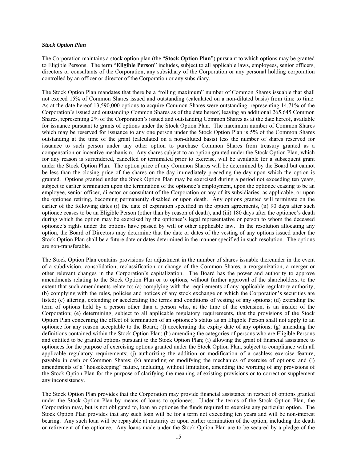### *Stock Option Plan*

The Corporation maintains a stock option plan (the "**Stock Option Plan**") pursuant to which options may be granted to Eligible Persons. The term "**Eligible Person**" includes, subject to all applicable laws, employees, senior officers, directors or consultants of the Corporation, any subsidiary of the Corporation or any personal holding corporation controlled by an officer or director of the Corporation or any subsidiary.

The Stock Option Plan mandates that there be a "rolling maximum" number of Common Shares issuable that shall not exceed 15% of Common Shares issued and outstanding (calculated on a non-diluted basis) from time to time. As at the date hereof 13,590,000 options to acquire Common Shares were outstanding, representing 14.71% of the Corporation's issued and outstanding Common Shares as of the date hereof, leaving an additional 265,645 Common Shares, representing 2% of the Corporation's issued and outstanding Common Shares as at the date hereof, available for issuance pursuant to grants of options under the Stock Option Plan. The maximum number of Common Shares which may be reserved for issuance to any one person under the Stock Option Plan is 5% of the Common Shares outstanding at the time of the grant (calculated on a non-diluted basis) less the number of shares reserved for issuance to such person under any other option to purchase Common Shares from treasury granted as a compensation or incentive mechanism. Any shares subject to an option granted under the Stock Option Plan, which for any reason is surrendered, cancelled or terminated prior to exercise, will be available for a subsequent grant under the Stock Option Plan. The option price of any Common Shares will be determined by the Board but cannot be less than the closing price of the shares on the day immediately preceding the day upon which the option is granted. Options granted under the Stock Option Plan may be exercised during a period not exceeding ten years, subject to earlier termination upon the termination of the optionee's employment, upon the optionee ceasing to be an employee, senior officer, director or consultant of the Corporation or any of its subsidiaries, as applicable, or upon the optionee retiring, becoming permanently disabled or upon death. Any options granted will terminate on the earlier of the following dates (i) the date of expiration specified in the option agreements, (ii) 90 days after such optionee ceases to be an Eligible Person (other than by reason of death), and (iii) 180 days after the optionee's death during which the option may be exercised by the optionee's legal representative or person to whom the deceased optionee's rights under the options have passed by will or other applicable law. In the resolution allocating any option, the Board of Directors may determine that the date or dates of the vesting of any options issued under the Stock Option Plan shall be a future date or dates determined in the manner specified in such resolution. The options are non-transferable.

The Stock Option Plan contains provisions for adjustment in the number of shares issuable thereunder in the event of a subdivision, consolidation, reclassification or change of the Common Shares, a reorganization, a merger or other relevant changes in the Corporation's capitalization. The Board has the power and authority to approve amendments relating to the Stock Option Plan or to options, without further approval of the shareholders, to the extent that such amendments relate to: (a) complying with the requirements of any applicable regulatory authority; (b) complying with the rules, policies and notices of any stock exchange on which the Corporation's securities are listed; (c) altering, extending or accelerating the terms and conditions of vesting of any options; (d) extending the term of options held by a person other than a person who, at the time of the extension, is an insider of the Corporation; (e) determining, subject to all applicable regulatory requirements, that the provisions of the Stock Option Plan concerning the effect of termination of an optionee's status as an Eligible Person shall not apply to an optionee for any reason acceptable to the Board; (f) accelerating the expiry date of any options; (g) amending the definitions contained within the Stock Option Plan; (h) amending the categories of persons who are Eligible Persons and entitled to be granted options pursuant to the Stock Option Plan; (i) allowing the grant of financial assistance to optionees for the purpose of exercising options granted under the Stock Option Plan, subject to compliance with all applicable regulatory requirements; (j) authorizing the addition or modification of a cashless exercise feature, payable in cash or Common Shares; (k) amending or modifying the mechanics of exercise of options; and (l) amendments of a "housekeeping" nature, including, without limitation, amending the wording of any provisions of the Stock Option Plan for the purpose of clarifying the meaning of existing provisions or to correct or supplement any inconsistency.

The Stock Option Plan provides that the Corporation may provide financial assistance in respect of options granted under the Stock Option Plan by means of loans to optionees. Under the terms of the Stock Option Plan, the Corporation may, but is not obligated to, loan an optionee the funds required to exercise any particular option. The Stock Option Plan provides that any such loan will be for a term not exceeding ten years and will be non-interest bearing. Any such loan will be repayable at maturity or upon earlier termination of the option, including the death or retirement of the optionee. Any loans made under the Stock Option Plan are to be secured by a pledge of the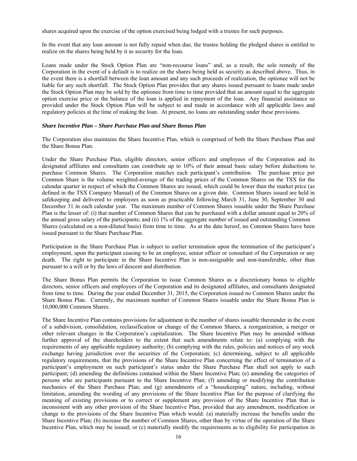shares acquired upon the exercise of the option exercised being lodged with a trustee for such purposes.

In the event that any loan amount is not fully repaid when due, the trustee holding the pledged shares is entitled to realize on the shares being held by it as security for the loan.

Loans made under the Stock Option Plan are "non-recourse loans" and, as a result, the sole remedy of the Corporation in the event of a default is to realize on the shares being held as security as described above. Thus, in the event there is a shortfall between the loan amount and any such proceeds of realization, the optionee will not be liable for any such shortfall. The Stock Option Plan provides that any shares issued pursuant to loans made under the Stock Option Plan may be sold by the optionee from time to time provided that an amount equal to the aggregate option exercise price or the balance of the loan is applied in repayment of the loan. Any financial assistance so provided under the Stock Option Plan will be subject to and made in accordance with all applicable laws and regulatory policies at the time of making the loan. At present, no loans are outstanding under these provisions.

### *Share Incentive Plan – Share Purchase Plan and Share Bonus Plan*

The Corporation also maintains the Share Incentive Plan, which is comprised of both the Share Purchase Plan and the Share Bonus Plan.

Under the Share Purchase Plan, eligible directors, senior officers and employees of the Corporation and its designated affiliates and consultants can contribute up to 10% of their annual basic salary before deductions to purchase Common Shares. The Corporation matches each participant's contribution. The purchase price per Common Share is the volume weighted-average of the trading prices of the Common Shares on the TSX for the calendar quarter in respect of which the Common Shares are issued, which could be lower than the market price (as defined in the TSX Company Manual) of the Common Shares on a given date. Common Shares issued are held in safekeeping and delivered to employees as soon as practicable following March 31, June 30, September 30 and December 31 in each calendar year. The maximum number of Common Shares issuable under the Share Purchase Plan is the lesser of: (i) that number of Common Shares that can be purchased with a dollar amount equal to 20% of the annual gross salary of the participants; and (ii) 1% of the aggregate number of issued and outstanding Common Shares (calculated on a non-diluted basis) from time to time. As at the date hereof, no Common Shares have been issued pursuant to the Share Purchase Plan.

Participation in the Share Purchase Plan is subject to earlier termination upon the termination of the participant's employment, upon the participant ceasing to be an employee, senior officer or consultant of the Corporation or any death. The right to participate in the Share Incentive Plan is non-assignable and non-transferable, other than pursuant to a will or by the laws of descent and distribution.

The Share Bonus Plan permits the Corporation to issue Common Shares as a discretionary bonus to eligible directors, senior officers and employees of the Corporation and its designated affiliates, and consultants designated from time to time. During the year ended December 31, 2015, the Corporation issued no Common Shares under the Share Bonus Plan. Currently, the maximum number of Common Shares issuable under the Share Bonus Plan is 10,000,000 Common Shares.

The Share Incentive Plan contains provisions for adjustment in the number of shares issuable thereunder in the event of a subdivision, consolidation, reclassification or change of the Common Shares, a reorganization, a merger or other relevant changes in the Corporation's capitalization. The Share Incentive Plan may be amended without further approval of the shareholders to the extent that such amendments relate to: (a) complying with the requirements of any applicable regulatory authority; (b) complying with the rules, policies and notices of any stock exchange having jurisdiction over the securities of the Corporation; (c) determining, subject to all applicable regulatory requirements, that the provisions of the Share Incentive Plan concerning the effect of termination of a participant's employment on such participant's status under the Share Purchase Plan shall not apply to such participant; (d) amending the definitions contained within the Share Incentive Plan; (e) amending the categories of persons who are participants pursuant to the Share Incentive Plan; (f) amending or modifying the contribution mechanics of the Share Purchase Plan; and (g) amendments of a "housekeeping" nature, including, without limitation, amending the wording of any provisions of the Share Incentive Plan for the purpose of clarifying the meaning of existing provisions or to correct or supplement any provision of the Share Incentive Plan that is inconsistent with any other provision of the Share Incentive Plan, provided that any amendment, modification or change to the provisions of the Share Incentive Plan which would: (a) materially increase the benefits under the Share Incentive Plan; (b) increase the number of Common Shares, other than by virtue of the operation of the Share Incentive Plan, which may be issued; or (c) materially modify the requirements as to eligibility for participation in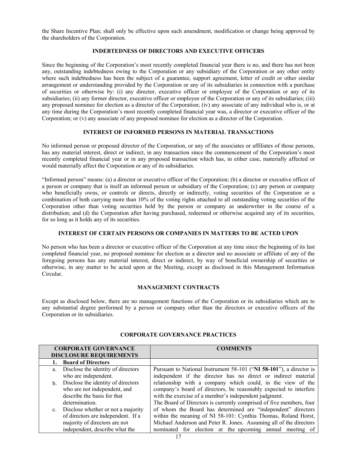the Share Incentive Plan; shall only be effective upon such amendment, modification or change being approved by the shareholders of the Corporation.

### **INDEBTEDNESS OF DIRECTORS AND EXECUTIVE OFFICERS**

Since the beginning of the Corporation's most recently completed financial year there is no, and there has not been any, outstanding indebtedness owing to the Corporation or any subsidiary of the Corporation or any other entity where such indebtedness has been the subject of a guarantee, support agreement, letter of credit or other similar arrangement or understanding provided by the Corporation or any of its subsidiaries in connection with a purchase of securities or otherwise by: (i) any director, executive officer or employee of the Corporation or any of its subsidiaries; (ii) any former director, executive officer or employee of the Corporation or any of its subsidiaries; (iii) any proposed nominee for election as a director of the Corporation; (iv) any associate of any individual who is, or at any time during the Corporation's most recently completed financial year was, a director or executive officer of the Corporation; or (v) any associate of any proposed nominee for election as a director of the Corporation.

### **INTEREST OF INFORMED PERSONS IN MATERIAL TRANSACTIONS**

No informed person or proposed director of the Corporation, or any of the associates or affiliates of those persons, has any material interest, direct or indirect, in any transaction since the commencement of the Corporation's most recently completed financial year or in any proposed transaction which has, in either case, materially affected or would materially affect the Corporation or any of its subsidiaries.

"Informed person" means: (a) a director or executive officer of the Corporation; (b) a director or executive officer of a person or company that is itself an informed person or subsidiary of the Corporation; (c) any person or company who beneficially owns, or controls or directs, directly or indirectly, voting securities of the Corporation or a combination of both carrying more than 10% of the voting rights attached to all outstanding voting securities of the Corporation other than voting securities held by the person or company as underwriter in the course of a distribution; and (d) the Corporation after having purchased, redeemed or otherwise acquired any of its securities, for so long as it holds any of its securities.

### **INTEREST OF CERTAIN PERSONS OR COMPANIES IN MATTERS TO BE ACTED UPON**

No person who has been a director or executive officer of the Corporation at any time since the beginning of its last completed financial year, no proposed nominee for election as a director and no associate or affiliate of any of the foregoing persons has any material interest, direct or indirect, by way of beneficial ownership of securities or otherwise, in any matter to be acted upon at the Meeting, except as disclosed in this Management Information Circular.

### **MANAGEMENT CONTRACTS**

Except as disclosed below, there are no management functions of the Corporation or its subsidiaries which are to any substantial degree performed by a person or company other than the directors or executive officers of the Corporation or its subsidiaries.

|    | <b>CORPORATE GOVERNANCE</b>           | <b>COMMENTS</b>                                                     |
|----|---------------------------------------|---------------------------------------------------------------------|
|    | <b>DISCLOSURE REQUIREMENTS</b>        |                                                                     |
|    | <b>Board of Directors</b>             |                                                                     |
| a. | Disclose the identity of directors    | Pursuant to National Instrument 58-101 ("NI 58-101"), a director is |
|    | who are independent.                  | independent if the director has no direct or indirect material      |
|    | b. Disclose the identity of directors | relationship with a company which could, in the view of the         |
|    | who are not independent, and          | company's board of directors, be reasonably expected to interfere   |
|    | describe the basis for that           | with the exercise of a member's independent judgment.               |
|    | determination.                        | The Board of Directors is currently comprised of five members, four |
|    | c. Disclose whether or not a majority | of whom the Board has determined are "independent" directors        |
|    | of directors are independent. If a    | within the meaning of NI 58-101: Cynthia Thomas, Roland Horst,      |
|    | majority of directors are not         | Michael Anderson and Peter R. Jones. Assuming all of the directors  |
|    | independent, describe what the        | nominated for election at the upcoming annual meeting of            |

# **CORPORATE GOVERNANCE PRACTICES**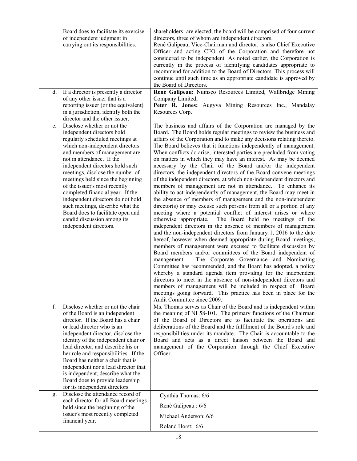| Board does to facilitate its exercise<br>of independent judgment in<br>carrying out its responsibilities.                                                                                                                                                                                                                                                                                                                                                                                                                                                   | shareholders are elected, the board will be comprised of four current<br>directors, three of whom are independent directors.<br>René Galipeau, Vice-Chairman and director, is also Chief Executive<br>Officer and acting CFO of the Corporation and therefore not<br>considered to be independent. As noted earlier, the Corporation is<br>currently in the process of identifying candidates appropriate to<br>recommend for addition to the Board of Directors. This process will<br>continue until such time as an appropriate candidate is approved by<br>the Board of Directors.                                                                                                                                                                                                                                                                                                                                                                                                                                                                                                                                                                                                                                                                                                                                                                                                                                                                                                                                                                                                                                                                                                                                                                                                                                              |
|-------------------------------------------------------------------------------------------------------------------------------------------------------------------------------------------------------------------------------------------------------------------------------------------------------------------------------------------------------------------------------------------------------------------------------------------------------------------------------------------------------------------------------------------------------------|------------------------------------------------------------------------------------------------------------------------------------------------------------------------------------------------------------------------------------------------------------------------------------------------------------------------------------------------------------------------------------------------------------------------------------------------------------------------------------------------------------------------------------------------------------------------------------------------------------------------------------------------------------------------------------------------------------------------------------------------------------------------------------------------------------------------------------------------------------------------------------------------------------------------------------------------------------------------------------------------------------------------------------------------------------------------------------------------------------------------------------------------------------------------------------------------------------------------------------------------------------------------------------------------------------------------------------------------------------------------------------------------------------------------------------------------------------------------------------------------------------------------------------------------------------------------------------------------------------------------------------------------------------------------------------------------------------------------------------------------------------------------------------------------------------------------------------|
| If a director is presently a director<br>d.<br>of any other issuer that is a<br>reporting issuer (or the equivalent)<br>in a jurisdiction, identify both the<br>director and the other issuer.                                                                                                                                                                                                                                                                                                                                                              | René Galipeau: Nuinsco Resources Limited, Wallbridge Mining<br>Company Limited;<br>Peter R. Jones: Augyva Mining Resources Inc., Mandalay<br>Resources Corp.                                                                                                                                                                                                                                                                                                                                                                                                                                                                                                                                                                                                                                                                                                                                                                                                                                                                                                                                                                                                                                                                                                                                                                                                                                                                                                                                                                                                                                                                                                                                                                                                                                                                       |
| Disclose whether or not the<br>e.<br>independent directors hold<br>regularly scheduled meetings at<br>which non-independent directors<br>and members of management are<br>not in attendance. If the<br>independent directors hold such<br>meetings, disclose the number of<br>meetings held since the beginning<br>of the issuer's most recently<br>completed financial year. If the<br>independent directors do not hold<br>such meetings, describe what the<br>Board does to facilitate open and<br>candid discussion among its<br>independent directors. | The business and affairs of the Corporation are managed by the<br>Board. The Board holds regular meetings to review the business and<br>affairs of the Corporation and to make any decisions relating thereto.<br>The Board believes that it functions independently of management.<br>When conflicts do arise, interested parties are precluded from voting<br>on matters in which they may have an interest. As may be deemed<br>necessary by the Chair of the Board and/or the independent<br>directors, the independent directors of the Board convene meetings<br>of the independent directors, at which non-independent directors and<br>members of management are not in attendance. To enhance its<br>ability to act independently of management, the Board may meet in<br>the absence of members of management and the non-independent<br>director(s) or may excuse such persons from all or a portion of any<br>meeting where a potential conflict of interest arises or where<br>otherwise appropriate.<br>The Board held no meetings of the<br>independent directors in the absence of members of management<br>and the non-independent directors from January 1, 2016 to the date<br>hereof, however when deemed appropriate during Board meetings,<br>members of management were excused to facilitate discussion by<br>Board members and/or committees of the Board independent of<br>The Corporate Governance and Nominating<br>management.<br>Committee has recommended, and the Board has adopted, a policy<br>whereby a standard agenda item providing for the independent<br>directors to meet in the absence of non-independent directors and<br>members of management will be included in respect of Board<br>meetings going forward. This practice has been in place for the<br>Audit Committee since 2009. |
| f.<br>Disclose whether or not the chair<br>of the Board is an independent<br>director. If the Board has a chair<br>or lead director who is an<br>independent director, disclose the<br>identity of the independent chair or<br>lead director, and describe his or<br>her role and responsibilities. If the<br>Board has neither a chair that is<br>independent nor a lead director that<br>is independent, describe what the<br>Board does to provide leadership<br>for its independent directors.                                                          | Ms. Thomas serves as Chair of the Board and is independent within<br>the meaning of NI 58-101. The primary functions of the Chairman<br>of the Board of Directors are to facilitate the operations and<br>deliberations of the Board and the fulfilment of the Board's role and<br>responsibilities under its mandate. The Chair is accountable to the<br>Board and acts as a direct liaison between the Board and<br>management of the Corporation through the Chief Executive<br>Officer.                                                                                                                                                                                                                                                                                                                                                                                                                                                                                                                                                                                                                                                                                                                                                                                                                                                                                                                                                                                                                                                                                                                                                                                                                                                                                                                                        |
| Disclose the attendance record of<br>g.<br>each director for all Board meetings<br>held since the beginning of the<br>issuer's most recently completed<br>financial year.                                                                                                                                                                                                                                                                                                                                                                                   | Cynthia Thomas: 6/6<br>René Galipeau: 6/6<br>Michael Anderson: 6/6<br>Roland Horst: 6/6                                                                                                                                                                                                                                                                                                                                                                                                                                                                                                                                                                                                                                                                                                                                                                                                                                                                                                                                                                                                                                                                                                                                                                                                                                                                                                                                                                                                                                                                                                                                                                                                                                                                                                                                            |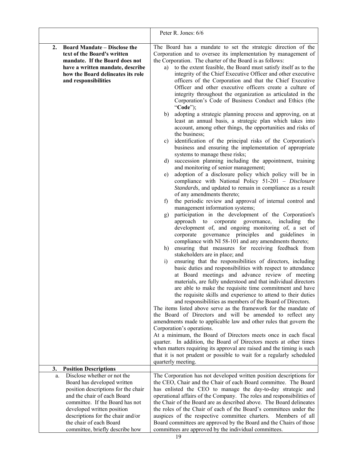|                                                                                                                                                                                                                                              | Peter R. Jones: 6/6                                                                                                                                                                                                                                                                                                                                                                                                                                                                                                                                                                                                                                                                                                                                                                                                                                                                                                                                                                                                                                                                                                                                                                                                                                                                                                                                                                                                                                                                                                                                                                                                                                                                                                                                                                                                                                                                                                                                                                                                                                                                                                                                                                                                                                                                                                                                                                                                                                                                                                                                                                                                                                         |
|----------------------------------------------------------------------------------------------------------------------------------------------------------------------------------------------------------------------------------------------|-------------------------------------------------------------------------------------------------------------------------------------------------------------------------------------------------------------------------------------------------------------------------------------------------------------------------------------------------------------------------------------------------------------------------------------------------------------------------------------------------------------------------------------------------------------------------------------------------------------------------------------------------------------------------------------------------------------------------------------------------------------------------------------------------------------------------------------------------------------------------------------------------------------------------------------------------------------------------------------------------------------------------------------------------------------------------------------------------------------------------------------------------------------------------------------------------------------------------------------------------------------------------------------------------------------------------------------------------------------------------------------------------------------------------------------------------------------------------------------------------------------------------------------------------------------------------------------------------------------------------------------------------------------------------------------------------------------------------------------------------------------------------------------------------------------------------------------------------------------------------------------------------------------------------------------------------------------------------------------------------------------------------------------------------------------------------------------------------------------------------------------------------------------------------------------------------------------------------------------------------------------------------------------------------------------------------------------------------------------------------------------------------------------------------------------------------------------------------------------------------------------------------------------------------------------------------------------------------------------------------------------------------------------|
| <b>Board Mandate – Disclose the</b><br>2.<br>text of the Board's written<br>mandate. If the Board does not<br>have a written mandate, describe<br>how the Board delineates its role<br>and responsibilities                                  | The Board has a mandate to set the strategic direction of the<br>Corporation and to oversee its implementation by management of<br>the Corporation. The charter of the Board is as follows:<br>to the extent feasible, the Board must satisfy itself as to the<br>a)<br>integrity of the Chief Executive Officer and other executive<br>officers of the Corporation and that the Chief Executive<br>Officer and other executive officers create a culture of<br>integrity throughout the organization as articulated in the<br>Corporation's Code of Business Conduct and Ethics (the<br>"Code");<br>adopting a strategic planning process and approving, on at<br>b)<br>least an annual basis, a strategic plan which takes into<br>account, among other things, the opportunities and risks of<br>the business;<br>identification of the principal risks of the Corporation's<br>$\mathbf{c})$<br>business and ensuring the implementation of appropriate<br>systems to manage these risks;<br>succession planning including the appointment, training<br>d)<br>and monitoring of senior management;<br>adoption of a disclosure policy which policy will be in<br>e)<br>compliance with National Policy 51-201 - Disclosure<br>Standards, and updated to remain in compliance as a result<br>of any amendments thereto;<br>the periodic review and approval of internal control and<br>f)<br>management information systems;<br>participation in the development of the Corporation's<br>g)<br>approach to corporate governance, including<br>the<br>development of, and ongoing monitoring of, a set of<br>corporate governance principles and guidelines in<br>compliance with NI 58-101 and any amendments thereto;<br>ensuring that measures for receiving feedback from<br>h)<br>stakeholders are in place; and<br>ensuring that the responsibilities of directors, including<br>$\ddot{1}$<br>basic duties and responsibilities with respect to attendance<br>at Board meetings and advance review of meeting<br>materials, are fully understood and that individual directors<br>are able to make the requisite time commitment and have<br>the requisite skills and experience to attend to their duties<br>and responsibilities as members of the Board of Directors.<br>The items listed above serve as the framework for the mandate of<br>the Board of Directors and will be amended to reflect any<br>amendments made to applicable law and other rules that govern the<br>Corporation's operations.<br>At a minimum, the Board of Directors meets once in each fiscal<br>quarter. In addition, the Board of Directors meets at other times |
|                                                                                                                                                                                                                                              | when matters requiring its approval are raised and the timing is such<br>that it is not prudent or possible to wait for a regularly scheduled<br>quarterly meeting.                                                                                                                                                                                                                                                                                                                                                                                                                                                                                                                                                                                                                                                                                                                                                                                                                                                                                                                                                                                                                                                                                                                                                                                                                                                                                                                                                                                                                                                                                                                                                                                                                                                                                                                                                                                                                                                                                                                                                                                                                                                                                                                                                                                                                                                                                                                                                                                                                                                                                         |
| 3.<br><b>Position Descriptions</b>                                                                                                                                                                                                           |                                                                                                                                                                                                                                                                                                                                                                                                                                                                                                                                                                                                                                                                                                                                                                                                                                                                                                                                                                                                                                                                                                                                                                                                                                                                                                                                                                                                                                                                                                                                                                                                                                                                                                                                                                                                                                                                                                                                                                                                                                                                                                                                                                                                                                                                                                                                                                                                                                                                                                                                                                                                                                                             |
| Disclose whether or not the<br>a.<br>Board has developed written<br>position descriptions for the chair<br>and the chair of each Board<br>committee. If the Board has not<br>developed written position<br>descriptions for the chair and/or | The Corporation has not developed written position descriptions for<br>the CEO, Chair and the Chair of each Board committee. The Board<br>has enlisted the CEO to manage the day-to-day strategic and<br>operational affairs of the Company. The roles and responsibilities of<br>the Chair of the Board are as described above. The Board delineates<br>the roles of the Chair of each of the Board's committees under the<br>auspices of the respective committee charters. Members of all                                                                                                                                                                                                                                                                                                                                                                                                                                                                                                                                                                                                                                                                                                                                                                                                                                                                                                                                                                                                                                                                                                                                                                                                                                                                                                                                                                                                                                                                                                                                                                                                                                                                                                                                                                                                                                                                                                                                                                                                                                                                                                                                                                |
| the chair of each Board                                                                                                                                                                                                                      | Board committees are approved by the Board and the Chairs of those                                                                                                                                                                                                                                                                                                                                                                                                                                                                                                                                                                                                                                                                                                                                                                                                                                                                                                                                                                                                                                                                                                                                                                                                                                                                                                                                                                                                                                                                                                                                                                                                                                                                                                                                                                                                                                                                                                                                                                                                                                                                                                                                                                                                                                                                                                                                                                                                                                                                                                                                                                                          |
| committee, briefly describe how                                                                                                                                                                                                              | committees are approved by the individual committees.                                                                                                                                                                                                                                                                                                                                                                                                                                                                                                                                                                                                                                                                                                                                                                                                                                                                                                                                                                                                                                                                                                                                                                                                                                                                                                                                                                                                                                                                                                                                                                                                                                                                                                                                                                                                                                                                                                                                                                                                                                                                                                                                                                                                                                                                                                                                                                                                                                                                                                                                                                                                       |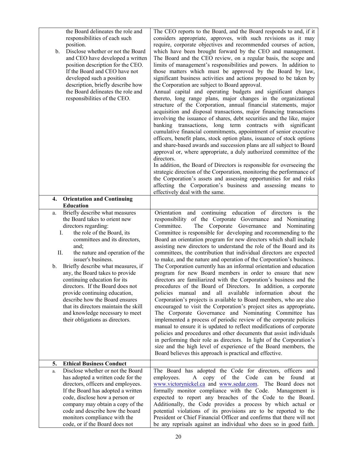| the Board delineates the role and<br>responsibilities of each such<br>position.<br>Disclose whether or not the Board<br>b.<br>and CEO have developed a written<br>position description for the CEO.<br>If the Board and CEO have not<br>developed such a position<br>description, briefly describe how<br>the Board delineates the role and<br>responsibilities of the CEO.                                                                                                                                                                                                    | The CEO reports to the Board, and the Board responds to and, if it<br>considers appropriate, approves, with such revisions as it may<br>require, corporate objectives and recommended courses of action,<br>which have been brought forward by the CEO and management.<br>The Board and the CEO review, on a regular basis, the scope and<br>limits of management's responsibilities and powers. In addition to<br>those matters which must be approved by the Board by law,<br>significant business activities and actions proposed to be taken by<br>the Corporation are subject to Board approval.<br>Annual capital and operating budgets and significant changes<br>thereto, long range plans, major changes in the organizational<br>structure of the Corporation, annual financial statements, major<br>acquisition and disposal transactions, major financing transactions<br>involving the issuance of shares, debt securities and the like, major<br>banking transactions, long term contracts with significant<br>cumulative financial commitments, appointment of senior executive<br>officers, benefit plans, stock option plans, issuance of stock options<br>and share-based awards and succession plans are all subject to Board<br>approval or, where appropriate, a duly authorized committee of the<br>directors.<br>In addition, the Board of Directors is responsible for overseeing the<br>strategic direction of the Corporation, monitoring the performance of<br>the Corporation's assets and assessing opportunities for and risks<br>affecting the Corporation's business and assessing means to<br>effectively deal with the same. |
|--------------------------------------------------------------------------------------------------------------------------------------------------------------------------------------------------------------------------------------------------------------------------------------------------------------------------------------------------------------------------------------------------------------------------------------------------------------------------------------------------------------------------------------------------------------------------------|----------------------------------------------------------------------------------------------------------------------------------------------------------------------------------------------------------------------------------------------------------------------------------------------------------------------------------------------------------------------------------------------------------------------------------------------------------------------------------------------------------------------------------------------------------------------------------------------------------------------------------------------------------------------------------------------------------------------------------------------------------------------------------------------------------------------------------------------------------------------------------------------------------------------------------------------------------------------------------------------------------------------------------------------------------------------------------------------------------------------------------------------------------------------------------------------------------------------------------------------------------------------------------------------------------------------------------------------------------------------------------------------------------------------------------------------------------------------------------------------------------------------------------------------------------------------------------------------------------------------------------------------------------------|
| 4.<br><b>Orientation and Continuing</b><br><b>Education</b>                                                                                                                                                                                                                                                                                                                                                                                                                                                                                                                    |                                                                                                                                                                                                                                                                                                                                                                                                                                                                                                                                                                                                                                                                                                                                                                                                                                                                                                                                                                                                                                                                                                                                                                                                                                                                                                                                                                                                                                                                                                                                                                                                                                                                |
| Briefly describe what measures<br>a.<br>the Board takes to orient new<br>directors regarding:<br>the role of the Board, its<br>Ι.<br>committees and its directors,<br>and;<br>П.<br>the nature and operation of the<br>issuer's business.<br>Briefly describe what measures, if<br>b.<br>any, the Board takes to provide<br>continuing education for its<br>directors. If the Board does not<br>provide continuing education,<br>describe how the Board ensures<br>that its directors maintain the skill<br>and knowledge necessary to meet<br>their obligations as directors. | Orientation and continuing education of directors is the<br>responsibility of the Corporate Governance and Nominating<br>The Corporate Governance<br>Committee.<br>and Nominating<br>Committee is responsible for developing and recommending to the<br>Board an orientation program for new directors which shall include<br>assisting new directors to understand the role of the Board and its<br>committees, the contribution that individual directors are expected<br>to make, and the nature and operation of the Corporation's business.<br>The Corporation currently has an informal orientation and education<br>program for new Board members in order to ensure that new<br>directors are familiarized with the Corporation's business and the<br>procedures of the Board of Directors. In addition, a corporate<br>policies manual and all available information about the<br>Corporation's projects is available to Board members, who are also<br>encouraged to visit the Corporation's project sites as appropriate.<br>The Corporate Governance and Nominating Committee has<br>implemented a process of periodic review of the corporate policies<br>manual to ensure it is updated to reflect modifications of corporate<br>policies and procedures and other documents that assist individuals<br>in performing their role as directors. In light of the Corporation's<br>size and the high level of experience of the Board members, the<br>Board believes this approach is practical and effective.                                                                                                                                      |
| 5.<br><b>Ethical Business Conduct</b><br>Disclose whether or not the Board<br>a.                                                                                                                                                                                                                                                                                                                                                                                                                                                                                               | The Board has adopted the Code for directors, officers and                                                                                                                                                                                                                                                                                                                                                                                                                                                                                                                                                                                                                                                                                                                                                                                                                                                                                                                                                                                                                                                                                                                                                                                                                                                                                                                                                                                                                                                                                                                                                                                                     |
| has adopted a written code for the<br>directors, officers and employees.<br>If the Board has adopted a written<br>code, disclose how a person or<br>company may obtain a copy of the<br>code and describe how the board<br>monitors compliance with the<br>code, or if the Board does not                                                                                                                                                                                                                                                                                      | A copy of the Code<br>can be found<br>employees.<br>at<br>www.victorynickel.ca and www.sedar.com.<br>The Board does not<br>formally monitor compliance with the Code.<br>Management is<br>expected to report any breaches of the Code to the Board.<br>Additionally, the Code provides a process by which actual or<br>potential violations of its provisions are to be reported to the<br>President or Chief Financial Officer and confirms that there will not<br>be any reprisals against an individual who does so in good faith.                                                                                                                                                                                                                                                                                                                                                                                                                                                                                                                                                                                                                                                                                                                                                                                                                                                                                                                                                                                                                                                                                                                          |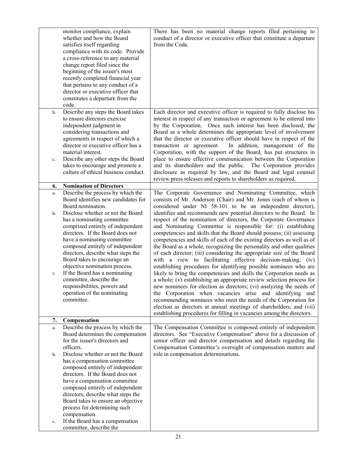|          | monitor compliance, explain<br>whether and how the Board<br>satisfies itself regarding<br>compliance with its code. Provide<br>a cross-reference to any material<br>change report filed since the<br>beginning of the issuer's most<br>recently completed financial year<br>that pertains to any conduct of a<br>director or executive officer that<br>constitutes a departure from the<br>code. | There has been no material change reports filed pertaining to<br>conduct of a director or executive officer that constitute a departure<br>from the Code.                                                                                                                                                                                                                                                                                                                                                                                                                                                                                                                                                                                                                                                                                                            |
|----------|--------------------------------------------------------------------------------------------------------------------------------------------------------------------------------------------------------------------------------------------------------------------------------------------------------------------------------------------------------------------------------------------------|----------------------------------------------------------------------------------------------------------------------------------------------------------------------------------------------------------------------------------------------------------------------------------------------------------------------------------------------------------------------------------------------------------------------------------------------------------------------------------------------------------------------------------------------------------------------------------------------------------------------------------------------------------------------------------------------------------------------------------------------------------------------------------------------------------------------------------------------------------------------|
| b.       | Describe any steps the Board takes<br>to ensure directors exercise<br>independent judgment in<br>considering transactions and<br>agreements in respect of which a<br>director or executive officer has a<br>material interest.<br>Describe any other steps the Board                                                                                                                             | Each director and executive officer is required to fully disclose his<br>interest in respect of any transaction or agreement to be entered into<br>by the Corporation. Once such interest has been disclosed, the<br>Board as a whole determines the appropriate level of involvement<br>that the director or executive officer should have in respect of the<br>transaction or agreement.<br>In addition, management of the<br>Corporation, with the support of the Board, has put structures in<br>place to ensure effective communication between the Corporation                                                                                                                                                                                                                                                                                                 |
| c.       | takes to encourage and promote a<br>culture of ethical business conduct.                                                                                                                                                                                                                                                                                                                         | and its shareholders and the public. The Corporation provides<br>disclosure as required by law, and the Board and legal counsel<br>review press releases and reports to shareholders as required.                                                                                                                                                                                                                                                                                                                                                                                                                                                                                                                                                                                                                                                                    |
| 6.       | <b>Nomination of Directors</b>                                                                                                                                                                                                                                                                                                                                                                   |                                                                                                                                                                                                                                                                                                                                                                                                                                                                                                                                                                                                                                                                                                                                                                                                                                                                      |
| a.<br>b. | Describe the process by which the<br>Board identifies new candidates for<br>Board nomination.<br>Disclose whether or not the Board<br>has a nominating committee<br>comprised entirely of independent<br>directors. If the Board does not                                                                                                                                                        | The Corporate Governance and Nominating Committee, which<br>consists of Mr. Anderson (Chair) and Mr. Jones (each of whom is<br>considered under NI 58-101 to be an independent director),<br>identifies and recommends new potential directors to the Board. In<br>respect of the nomination of directors, the Corporate Governance<br>and Nominating Committee is responsible for: (i) establishing<br>competencies and skills that the Board should possess; (ii) assessing                                                                                                                                                                                                                                                                                                                                                                                        |
| c.       | have a nominating committee<br>composed entirely of independent<br>directors, describe what steps the<br>Board takes to encourage an<br>objective nomination process.<br>If the Board has a nominating<br>committee, describe the<br>responsibilities, powers and<br>operation of the nominating<br>committee.                                                                                   | competencies and skills of each of the existing directors as well as of<br>the Board as a whole, recognizing the personality and other qualities<br>of each director; (iii) considering the appropriate size of the Board<br>with a view to facilitating effective decision-making; (iv)<br>establishing procedures for identifying possible nominees who are<br>likely to bring the competencies and skills the Corporation needs as<br>a whole; (v) establishing an appropriate review selection process for<br>new nominees for election as directors; (vi) analyzing the needs of<br>the Corporation when vacancies arise and identifying and<br>recommending nominees who meet the needs of the Corporation for<br>election as directors at annual meetings of shareholders; and (vii)<br>establishing procedures for filling in vacancies among the directors. |
| 7.       | Compensation                                                                                                                                                                                                                                                                                                                                                                                     |                                                                                                                                                                                                                                                                                                                                                                                                                                                                                                                                                                                                                                                                                                                                                                                                                                                                      |
| a.<br>b. | Describe the process by which the<br>Board determines the compensation<br>for the issuer's directors and<br>officers.<br>Disclose whether or not the Board                                                                                                                                                                                                                                       | The Compensation Committee is composed entirely of independent<br>directors. See "Executive Compensation" above for a discussion of<br>senior officer and director compensation and details regarding the<br>Compensation Committee's oversight of compensation matters and<br>role in compensation determinations.                                                                                                                                                                                                                                                                                                                                                                                                                                                                                                                                                  |
| c.       | has a compensation committee<br>composed entirely of independent<br>directors. If the Board does not<br>have a compensation committee<br>composed entirely of independent<br>directors, describe what steps the<br>Board takes to ensure an objective<br>process for determining such<br>compensation.<br>If the Board has a compensation<br>committee, describe the                             |                                                                                                                                                                                                                                                                                                                                                                                                                                                                                                                                                                                                                                                                                                                                                                                                                                                                      |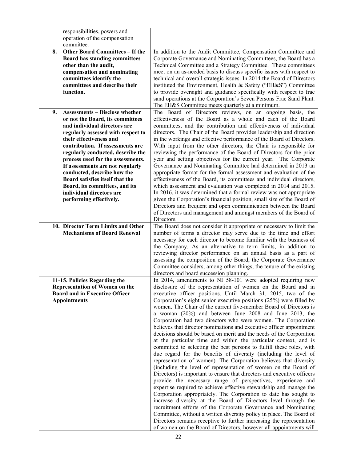|    | responsibilities, powers and           |                                                                         |
|----|----------------------------------------|-------------------------------------------------------------------------|
|    | operation of the compensation          |                                                                         |
|    | committee.                             |                                                                         |
| 8. | <b>Other Board Committees - If the</b> | In addition to the Audit Committee, Compensation Committee and          |
|    | <b>Board has standing committees</b>   | Corporate Governance and Nominating Committees, the Board has a         |
|    | other than the audit,                  | Technical Committee and a Strategy Committee. These committees          |
|    | compensation and nominating            | meet on an as-needed basis to discuss specific issues with respect to   |
|    | committees identify the                | technical and overall strategic issues. In 2014 the Board of Directors  |
|    | committees and describe their          | instituted the Environment, Health & Safety ("EH&S") Committee          |
|    | function.                              | to provide oversight and guidance specifically with respect to frac     |
|    |                                        | sand operations at the Corporation's Seven Persons Frac Sand Plant.     |
|    |                                        | The EH&S Committee meets quarterly at a minimum.                        |
| 9. | <b>Assessments - Disclose whether</b>  |                                                                         |
|    |                                        | The Board of Directors reviews, on an ongoing basis, the                |
|    | or not the Board, its committees       | effectiveness of the Board as a whole and each of the Board             |
|    | and individual directors are           | committees, and the contribution and effectiveness of individual        |
|    | regularly assessed with respect to     | directors. The Chair of the Board provides leadership and direction     |
|    | their effectiveness and                | in the workings and effective performance of the Board of Directors.    |
|    | contribution. If assessments are       | With input from the other directors, the Chair is responsible for       |
|    | regularly conducted, describe the      | reviewing the performance of the Board of Directors for the prior       |
|    | process used for the assessments.      | year and setting objectives for the current year. The Corporate         |
|    | If assessments are not regularly       | Governance and Nominating Committee had determined in 2013 an           |
|    | conducted, describe how the            | appropriate format for the formal assessment and evaluation of the      |
|    | Board satisfies itself that the        | effectiveness of the Board, its committees and individual directors,    |
|    | Board, its committees, and its         | which assessment and evaluation was completed in 2014 and 2015.         |
|    | individual directors are               | In 2016, it was determined that a formal review was not appropriate     |
|    | performing effectively.                | given the Corporation's financial position, small size of the Board of  |
|    |                                        | Directors and frequent and open communication between the Board         |
|    |                                        | of Directors and management and amongst members of the Board of         |
|    |                                        | Directors.                                                              |
|    | 10. Director Term Limits and Other     | The Board does not consider it appropriate or necessary to limit the    |
|    | <b>Mechanisms of Board Renewal</b>     | number of terms a director may serve due to the time and effort         |
|    |                                        | necessary for each director to become familiar with the business of     |
|    |                                        | the Company. As an alternative to term limits, in addition to           |
|    |                                        | reviewing director performance on an annual basis as a part of          |
|    |                                        | assessing the composition of the Board, the Corporate Governance        |
|    |                                        | Committee considers, among other things, the tenure of the existing     |
|    |                                        | directors and board succession planning.                                |
|    | 11-15. Policies Regarding the          | In 2014, amendments to NI 58-101 were adopted requiring new             |
|    | <b>Representation of Women on the</b>  | disclosure of the representation of women on the Board and in           |
|    | <b>Board and in Executive Officer</b>  | executive officer positions. Until March 31, 2015, two of the           |
|    | <b>Appointments</b>                    | Corporation's eight senior executive positions (25%) were filled by     |
|    |                                        | women. The Chair of the current five-member Board of Directors is       |
|    |                                        | a woman (20%) and between June 2008 and June 2013, the                  |
|    |                                        | Corporation had two directors who were women. The Corporation           |
|    |                                        | believes that director nominations and executive officer appointment    |
|    |                                        | decisions should be based on merit and the needs of the Corporation     |
|    |                                        | at the particular time and within the particular context, and is        |
|    |                                        | committed to selecting the best persons to fulfill these roles, with    |
|    |                                        | due regard for the benefits of diversity (including the level of        |
|    |                                        | representation of women). The Corporation believes that diversity       |
|    |                                        | (including the level of representation of women on the Board of         |
|    |                                        | Directors) is important to ensure that directors and executive officers |
|    |                                        | provide the necessary range of perspectives, experience and             |
|    |                                        | expertise required to achieve effective stewardship and manage the      |
|    |                                        | Corporation appropriately. The Corporation to date has sought to        |
|    |                                        | increase diversity at the Board of Directors level through the          |
|    |                                        | recruitment efforts of the Corporate Governance and Nominating          |
|    |                                        | Committee, without a written diversity policy in place. The Board of    |
|    |                                        | Directors remains receptive to further increasing the representation    |
|    |                                        | of women on the Board of Directors, however all appointments will       |